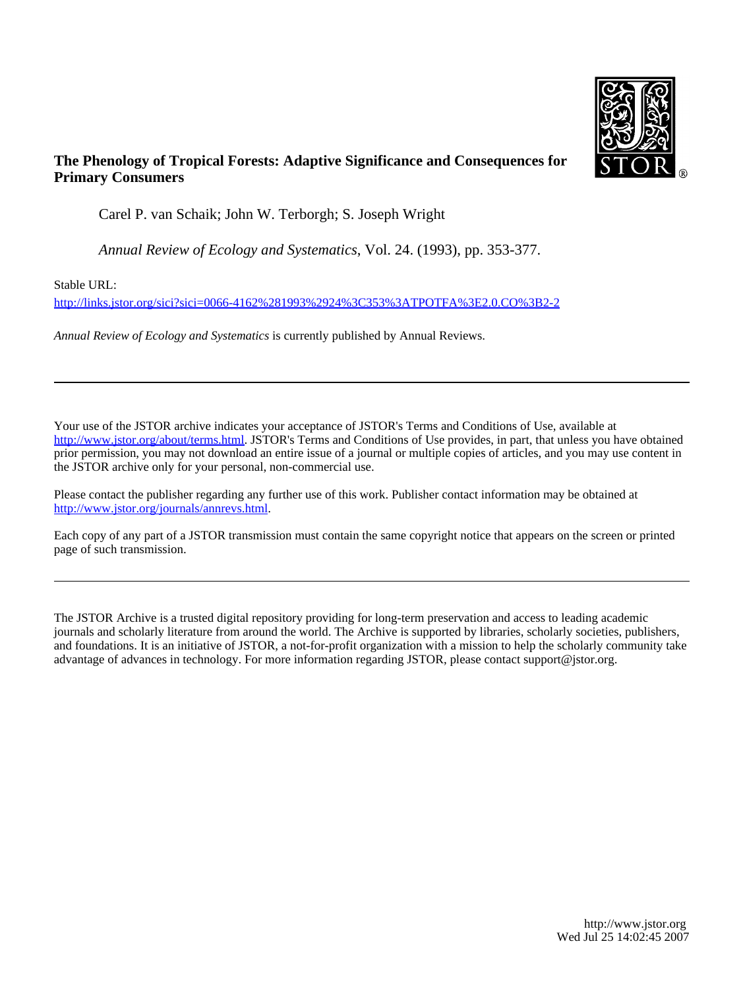

# **The Phenology of Tropical Forests: Adaptive Significance and Consequences for Primary Consumers**

Carel P. van Schaik; John W. Terborgh; S. Joseph Wright

*Annual Review of Ecology and Systematics*, Vol. 24. (1993), pp. 353-377.

Stable URL:

<http://links.jstor.org/sici?sici=0066-4162%281993%2924%3C353%3ATPOTFA%3E2.0.CO%3B2-2>

*Annual Review of Ecology and Systematics* is currently published by Annual Reviews.

Your use of the JSTOR archive indicates your acceptance of JSTOR's Terms and Conditions of Use, available at [http://www.jstor.org/about/terms.html.](http://www.jstor.org/about/terms.html) JSTOR's Terms and Conditions of Use provides, in part, that unless you have obtained prior permission, you may not download an entire issue of a journal or multiple copies of articles, and you may use content in the JSTOR archive only for your personal, non-commercial use.

Please contact the publisher regarding any further use of this work. Publisher contact information may be obtained at [http://www.jstor.org/journals/annrevs.html.](http://www.jstor.org/journals/annrevs.html)

Each copy of any part of a JSTOR transmission must contain the same copyright notice that appears on the screen or printed page of such transmission.

The JSTOR Archive is a trusted digital repository providing for long-term preservation and access to leading academic journals and scholarly literature from around the world. The Archive is supported by libraries, scholarly societies, publishers, and foundations. It is an initiative of JSTOR, a not-for-profit organization with a mission to help the scholarly community take advantage of advances in technology. For more information regarding JSTOR, please contact support@jstor.org.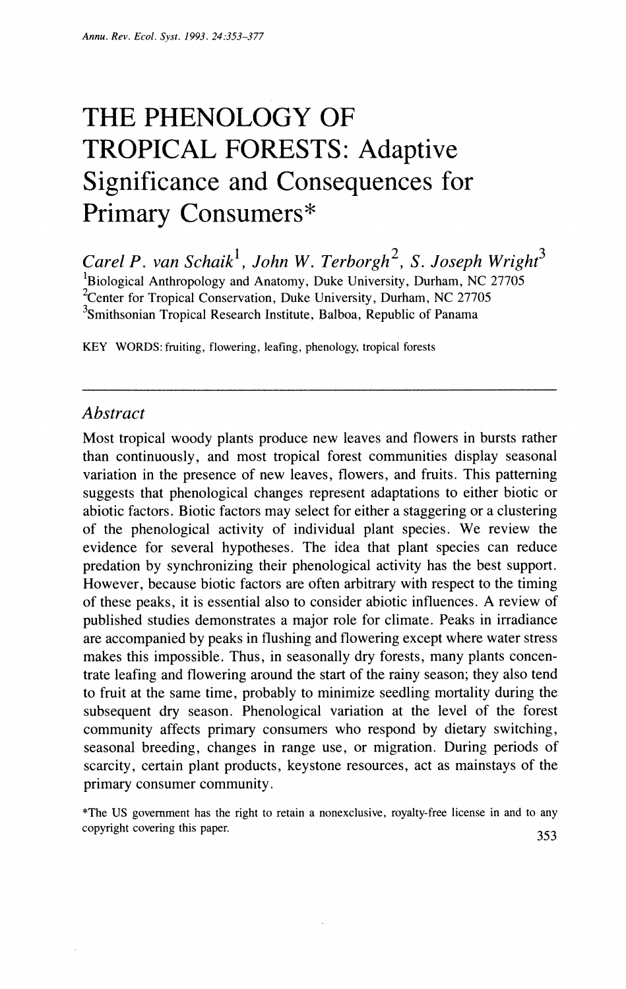# THE PHENOLOGY OF TROPICAL FORESTS: Adaptive Significance and Consequences for Primary Consumers\*

*Carel P. van Schaik*<sup>1</sup>, John W. Terborgh<sup>2</sup>, S. Joseph Wright<sup>3</sup> <sup>1</sup>Biological Anthropology and Anatomy, Duke University, Durham, NC 27705 <sup>2</sup>Center for Tropical Conservation, Duke University, Durham, NC 27705 <sup>3</sup>Smithsonian Tropical Research Institute, Balboa, Republic of Panama

KEY WORDS: fruiting, flowering, leafing, phenology, tropical forests

### *Abstract*

Most tropical woody plants produce new leaves and flowers in bursts rather than continuously, and most tropical forest communities display seasonal variation in the presence of new leaves, flowers, and fruits. This patterning suggests that phenological changes represent adaptations to either biotic or abiotic factors. Biotic factors may select for either a staggering or a clustering of the phenological activity of individual plant species. We review the evidence for several hypotheses. The idea that plant species can reduce predation by synchronizing their phenological activity has the best support. However, because biotic factors are often arbitrary with respect to the timing of these peaks, it is essential also to consider abiotic influences. A review of published studies demonstrates a major role for climate. Peaks in irradiance are accompanied by peaks in flushing and flowering except where water stress makes this impossible. Thus, in seasonally dry forests, many plants concentrate leafing and flowering around the start of the rainy season; they also tend to fruit at the same time, probably to minimize seedling mortality during the subsequent dry season. Phenological variation at the level of the forest community affects primary consumers who respond by dietary switching, seasonal breeding, changes in range use, or migration. During periods of scarcity, certain plant products, keystone resources, act as mainstays of the primary consumer community.

\*The US government has the right to retain a nonexclusive. royalty-free license in and to any copyright covering this paper. *353*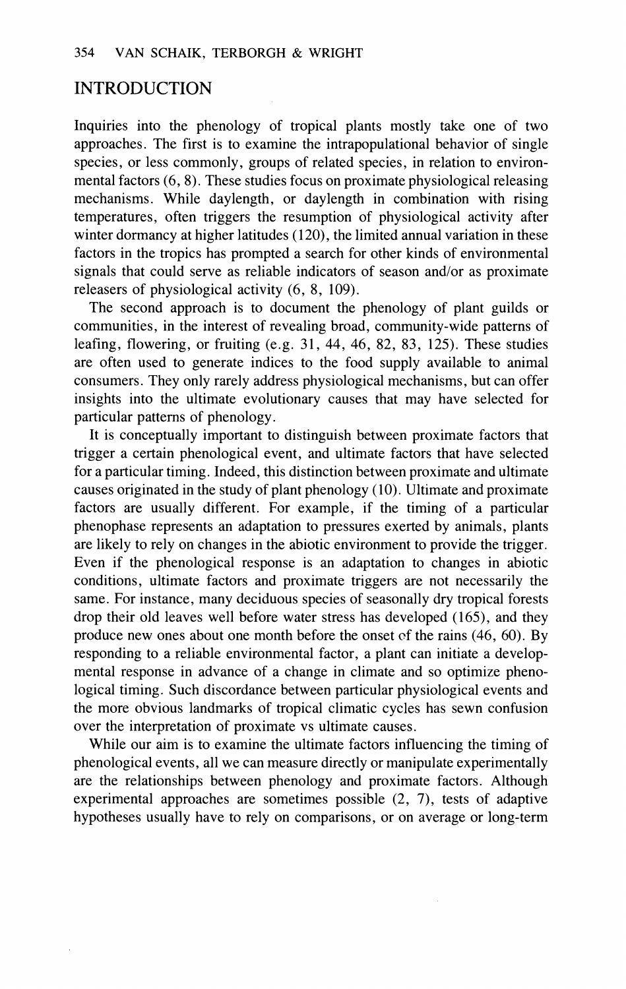## INTRODUCTION

Inquiries into the phenology of tropical plants mostly take one of two approaches. The first is to examine the intrapopulational behavior of single species, or less commonly, groups of related species, in relation to environmental factors (6, 8). These studies focus on proximate physiological releasing mechanisms. While daylength, or daylength in combination with rising temperatures, often triggers the resumption of physiological activity after winter dormancy at higher latitudes (120), the limited annual variation in these factors in the tropics has prompted a search for other kinds of environmental signals that could serve as reliable indicators of season and/or as proximate releasers of physiological activity (6, 8, 109).

The second approach is to document the phenology of plant guilds or communities, in the interest of revealing broad, community-wide patterns of leafing, flowering, or fruiting  $(e.g. 31, 44, 46, 82, 83, 125)$ . These studies are often used to generate indices to the food supply available to animal consumers. They only rarely address physiological mechanisms, but can offer insights into the ultimate evolutionary causes that may have selected for particular patterns of phenology.

It is conceptually important to distinguish between proximate factors that trigger a certain phenological event, and ultimate factors that have selected for a particular timing. Indeed, this distinction between proximate and ultimate causes originated in the study of plant phenology (10). Ultimate and proximate factors are usually different. For example, if the timing of a particular phenophase represents an adaptation to pressures exerted by animals, plants are likely to rely on changes in the abiotic environment to provide the trigger. Even if the phenological response is an adaptation to changes in abiotic conditions, ultimate factors and proximate triggers are not necessarily the same. For instance, many deciduous species of seasonally dry tropical forests drop their old leaves well before water stress has developed (165), and they produce new ones about one month before the onset cf the rains (46, 60). By responding to a reliable environmental factor, a plant can initiate a developmental response in advance of a change in climate and so optimize phenological timing. Such discordance between particular physiological events and the more obvious landmarks of tropical climatic cycles has sewn confusion over the interpretation of proximate vs ultimate causes.

While our aim is to examine the ultimate factors influencing the timing of phenological events, all we can measure directly or manipulate experimentally are the relationships between phenology and proximate factors. Although experimental approaches are sometimes possible (2, 7), tests of adaptive hypotheses usually have to rely on comparisons, or on average or long-term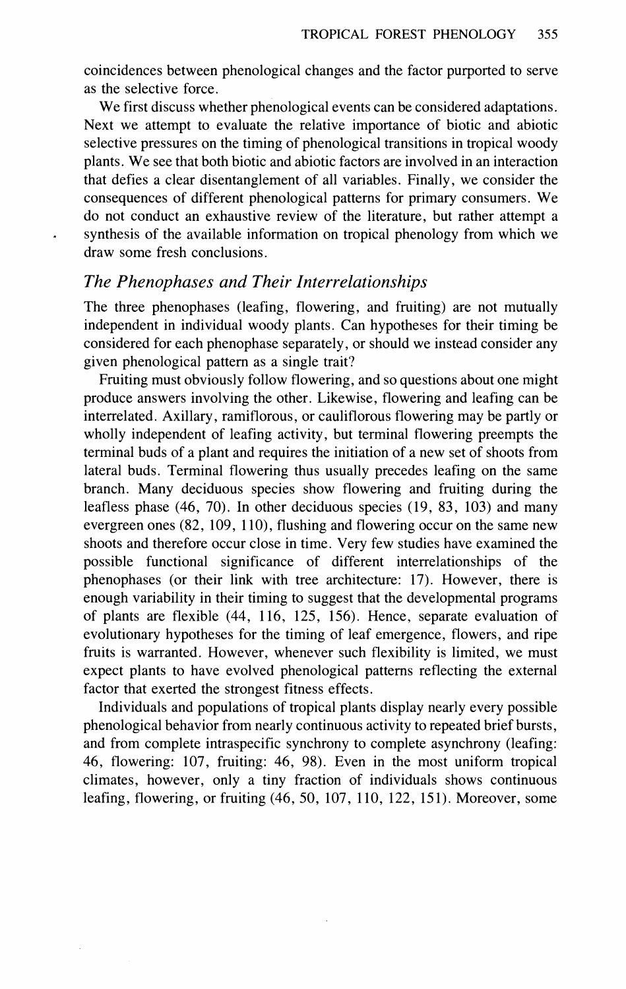coincidences between phenological changes and the factor purported to serve as the selective force.

We first discuss whether phenological events can be considered adaptations. Next we attempt to evaluate the relative importance of biotic and abiotic selective pressures on the timing of phenological transitions in tropical woody plants. We see that both biotic and abiotic factors are involved in an interaction that defies a clear disentanglement of all variables. Finally, we consider the consequences of different phenological patterns for primary consumers. We do not conduct an exhaustive review of the literature, but rather attempt a synthesis of the available information on tropical phenology from which we draw some fresh conclusions.

#### *The Phenophases and Their Interrelationships*

The three phenophases (leafing, flowering, and fruiting) are not mutually independent in individual woody plants. Can hypotheses for their timing be considered for each phenophase separately, or should we instead consider any given phenological pattern as a single trait?

Fruiting must obviously follow flowering, and so questions about one might produce answers involving the other. Likewise, flowering and leafing can be interrelated. Axillary, ramiflorous, or cauliflorous flowering may be partly or wholly independent of leafing activity, but terminal flowering preempts the terminal buds of a plant and requires the initiation of a new set of shoots from lateral buds. Terminal flowering thus usually precedes leafing on the same branch. Many deciduous species show flowering and fruiting during the leafless phase (46, 70). In other deciduous species (19, 83, 103) and many evergreen ones (82, 109, 110), flushing and flowering occur on the same new shoots and therefore occur close in time. Very few studies have examined the possible functional significance of different interrelationships of the phenophases (or their link with tree architecture: 17). However, there is enough variability in their timing to suggest that the developmental programs of plants are flexible (44, 116, 125, 156). Hence, separate evaluation of evolutionary hypotheses for the timing of leaf emergence, flowers, and ripe fruits is warranted. However, whenever such flexibility is limited, we must expect plants to have evolved phenological patterns reflecting the external factor that exerted the strongest fitness effects.

Individuals and populations of tropical plants display nearly every possible phenological behavior from nearly continuous activity to repeated brief bursts, and from complete intraspecific synchrony to complete asynchrony (leafing: 46, flowering: 107, fruiting: 46, 98). Even in the most uniform tropical climates, however, only a tiny fraction of individuals shows continuous leafing, flowering, or fruiting (46, 50, 107, 110, 122, 151). Moreover, some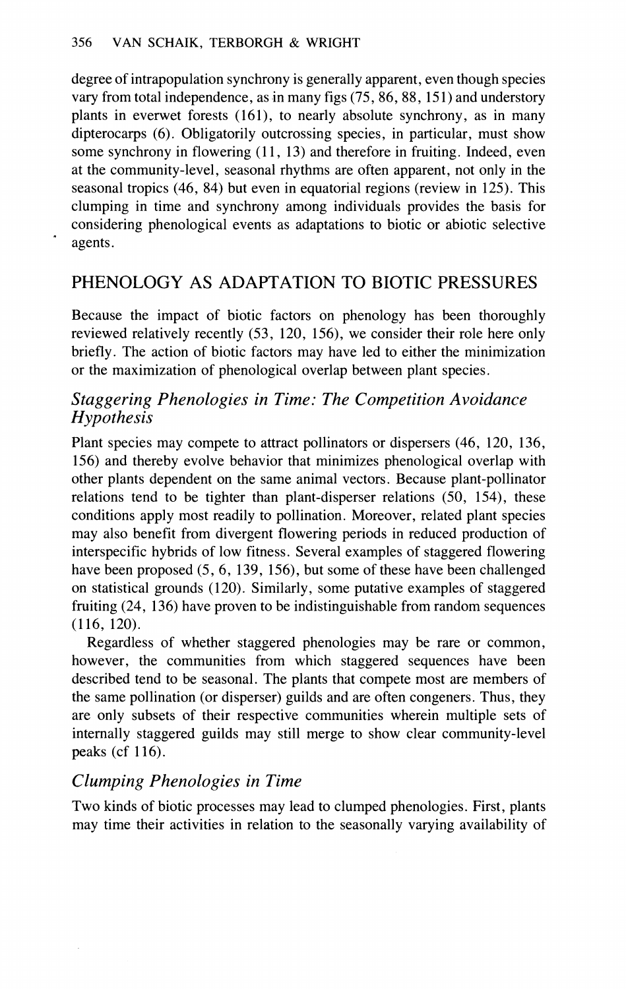degree of intrapopulation synchrony is generally apparent, even though species vary from total independence, as in many figs (75, 86, 88, 15 1) and understory plants in everwet forests (161), to nearly absolute synchrony, as in many dipterocarps (6). Obligatorily outcrossing species, in particular, must show some synchrony in flowering  $(11, 13)$  and therefore in fruiting. Indeed, even at the community-level, seasonal rhythms are often apparent, not only in the seasonal tropics (46, 84) but even in equatorial regions (review in 125). This clumping in time and synchrony among individuals provides the basis for considering phenological events as adaptations to biotic or abiotic selective agents.

# PHENOLOGY AS ADAPTATION TO BIOTIC PRESSURES

Because the impact of biotic factors on phenology has been thoroughly reviewed relatively recently (53, 120, 156), we consider their role here only briefly. The action of biotic factors may have led to either the minimization or the maximization of phenological overlap between plant species.

## *Staggering Phenologies in Time: The Competition Avoidance Hypothesis*

Plant species may compete to attract pollinators or dispersers (46, 120, 136, 156) and thereby evolve behavior that minimizes phenological overlap with other plants dependent on the same animal vectors. Because plant-pollinator relations tend to be tighter than plant-disperser relations (50, 154), these conditions apply most readily to pollination. Moreover, related plant species may also benefit from divergent flowering periods in reduced production of interspecific hybrids of low fitness. Several examples of staggered flowering have been proposed (5,6, 139, 156), but some of these have been challenged on statistical grounds (120). Similarly, some putative examples of staggered fruiting (24, 136) have proven to be indistinguishable from random sequences (116, 120).

Regardless of whether staggered phenologies may be rare or common, however, the communities from which staggered sequences have been described tend to be seasonal. The plants that compete most are members of the same pollination (or disperser) guilds and are often congeners. Thus, they are only subsets of their respective communities wherein multiple sets of internally staggered guilds may still merge to show clear community-level peaks (cf 116).

# *Clumping Phenologies in Time*

Two kinds of biotic processes may lead to clumped phenologies. First, plants may time their activities in relation to the seasonally varying availability of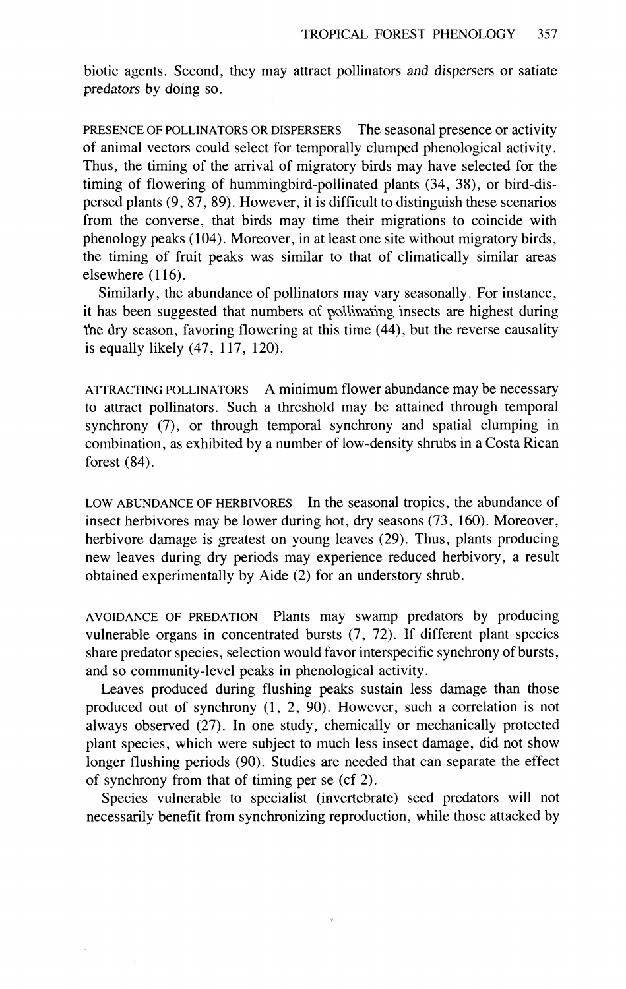biotic agents. Second, they may attract pollinators and dispersers or satiate predators by doing so.

PRESENCE OF POLLINATORS OR DISPERSERS The seasonal presence or activity of animal vectors could select for temporally clumped phenological activity. Thus, the timing of the arrival of migratory birds may have selected for the timing of flowering of hummingbird-pollinated plants (34, 38), or bird-dispersed plants (9, 87, 89). However, it is difficult to distinguish these scenarios from the converse, that birds may time their migrations to coincide with phenology peaks (104). Moreover, in at least one site without migratory birds, the timing of fruit peaks was similar to that of climatically similar areas elsewhere (116).

Similarly, the abundance of pollinators may vary seasonally. For instance, it has been suggested that numbers of pollinating insects are highest during the dry season, favoring flowering at this time (44), but the reverse causality is equally likely (47, 117, 120).

ATTRACTING POLLINATORS **A** minimum flower abundance may be necessary to attract pollinators. Such a threshold may be attained through temporal synchrony (7), or through temporal synchrony and spatial clumping in combination, as exhibited by a number of low-density shrubs in a Costa Rican forest (84).

LOW ABUNDANCE OF HERBIVORES In the seasonal tropics, the abundance of insect herbivores may be lower during hot, dry seasons (73, 160). Moreover, herbivore damage is greatest on young leaves (29). Thus, plants producing new leaves during dry periods may experience reduced herbivory, a result obtained experimentally by Aide (2) for an understory shrub.

AVOIDANCE OF PREDATION Plants may swamp predators by producing vulnerable organs in concentrated bursts (7, 72). If different plant species share predator species, selection would favor interspecific synchrony of bursts, and so community-level peaks in phenological activity.

Leaves produced during flushing peaks sustain less damage than those produced out of synchrony (1, 2, 90). However, such a correlation is not always observed (27). In one study, chemically or mechanically protected plant species, which were subject to much less insect damage, did not show longer flushing periods (90). Studies are needed that can separate the effect of synchrony from that of timing per se (cf 2).

Species vulnerable to specialist (invertebrate) seed predators will not necessarily benefit from synchronizing reproduction, while those attacked by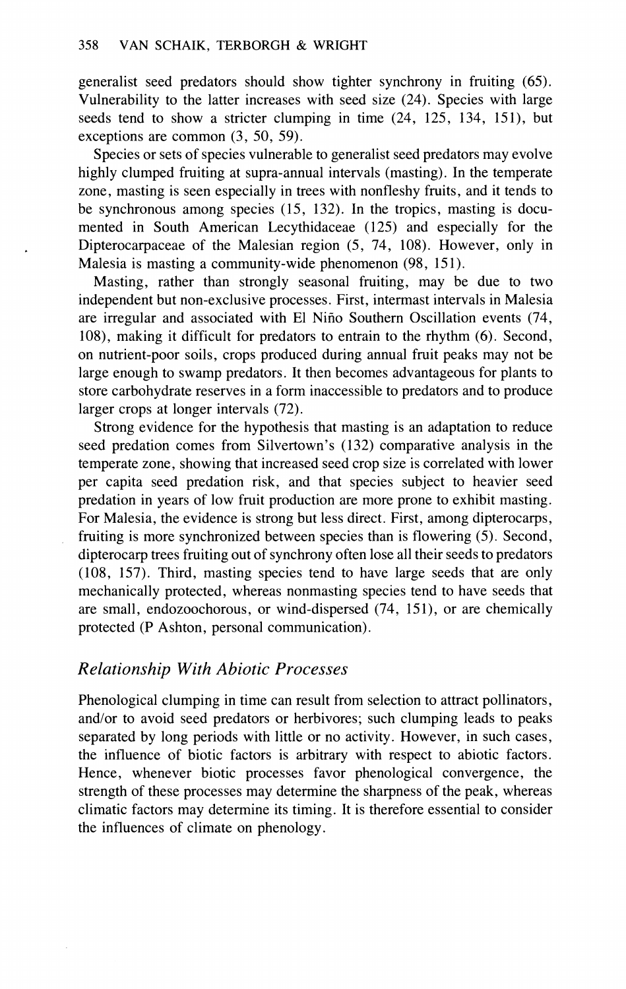generalist seed predators should show tighter synchrony in fruiting (65). Vulnerability to the latter increases with seed size (24). Species with large seeds tend to show a stricter clumping in time (24, 125, 134, 151), but exceptions are common (3, 50, 59).

Species or sets of species vulnerable to generalist seed predators may evolve highly clumped fruiting at supra-annual intervals (masting). In the temperate zone, masting is seen especially in trees with nonfleshy fruits, and it tends to be synchronous among species (15, 132). In the tropics, masting is documented in South American Lecythidaceae (125) and especially for the Dipterocarpaceae of the Malesian region (5, 74, 108). However, only in Malesia is masting a community-wide phenomenon (98, 151).

Masting, rather than strongly seasonal fruiting, may be due to two independent but non-exclusive processes. First, intermast intervals in Malesia are irregular and associated with El Nino Southern Oscillation events (74, 108), making it difficult for predators to entrain to the rhythm (6). Second, on nutrient-poor soils, crops produced during annual fruit peaks may not be large enough to swamp predators. It then becomes advantageous for plants to store carbohydrate reserves in a form inaccessible to predators and to produce larger crops at longer intervals (72).

Strong evidence for the hypothesis that masting is an adaptation to reduce seed predation comes from Silvertown's (132) comparative analysis in the temperate zone, showing that increased seed crop size is correlated with lower per capita seed predation risk, and that species subject to heavier seed predation in years of low fruit production are more prone to exhibit masting. For Malesia, the evidence is strong but less direct. First, among dipterocarps, fruiting is more synchronized between species than is flowering (5). Second, dipterocarp trees fruiting out of synchrony often lose all their seeds to predators (108, 157). Third, masting species tend to have large seeds that are only mechanically protected, whereas nonmasting species tend to have seeds that are small, endozoochorous, or wind-dispersed (74, 151), or are chemically protected (P Ashton, personal communication).

#### *Relationship With Abiotic Processes*

Phenological clumping in time can result from selection to attract pollinators, and/or to avoid seed predators or herbivores; such clumping leads to peaks separated by long periods with little or no activity. However, in such cases, the influence of biotic factors is arbitrary with respect to abiotic factors. Hence, whenever biotic processes favor phenological convergence, the strength of these processes may determine the sharpness of the peak, whereas climatic factors may determine its timing. It is therefore essential to consider the influences of climate on phenology.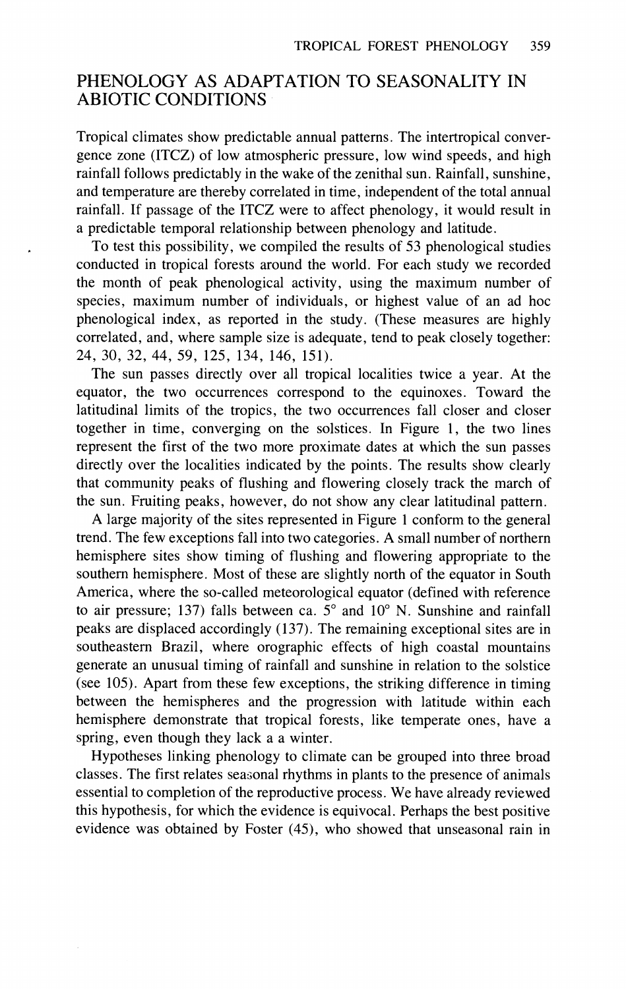## PHENOLOGY AS ADAPTATION TO SEASONALITY IN ABIOTIC CONDITIONS

Tropical climates show predictable annual patterns. The intertropical convergence zone (ITCZ) of low atmospheric pressure, low wind speeds, and high rainfall follows predictably in the wake of the zenithal sun. Rainfall, sunshine, and temperature are thereby correlated in time, independent of the total annual rainfall. If passage of the ITCZ were to affect phenology, it would result in a predictable temporal relationship between phenology and latitude.

To test this possibility, we compiled the results of 53 phenological studies conducted in tropical forests around the world. For each study we recorded the month of peak phenological activity, using the maximum number of species, maximum number of individuals, or highest value of an ad hoc phenological index, as reported in the study. (These measures are highly correlated, and, where sample size is adequate, tend to peak closely together: 24, 30, 32, 44, 59, 125, 134, 146, 151).

The sun passes directly over all tropical localities twice a year. At the equator, the two occurrences correspond to the equinoxes. Toward the latitudinal limits of the tropics, the two occurrences fall closer and closer together in time, converging on the solstices. In Figure 1, the two lines represent the first of the two more proximate dates at which the sun passes directly over the localities indicated by the points. The results show clearly that community peaks of flushing and flowering closely track the march of the sun. Fruiting peaks, however, do not show any clear latitudinal pattern.

A large majority of the sites represented in Figure 1 conform to the general trend. The few exceptions fall into two categories. A small number of northern hemisphere sites show timing of flushing and flowering appropriate to the southern hemisphere. Most of these are slightly north of the equator in South America, where the so-called meteorological equator (defined with reference to air pressure; 137) falls between ca.  $5^\circ$  and  $10^\circ$  N. Sunshine and rainfall peaks are displaced accordingly (137). The remaining exceptional sites are in southeastern Brazil, where orographic effects of high coastal mountains generate an unusual timing of rainfall and sunshine in relation to the solstice (see 105). Apart from these few exceptions, the striking difference in timing between the hemispheres and the progression with latitude within each hemisphere demonstrate that tropical forests, like temperate ones, have a spring, even though they lack a a winter.

Hypotheses linking phenology to climate can be grouped into three broad classes. The first relates seasonal rhythms in plants to the presence of animals essential to completion of the reproductive process. We have already reviewed this hypothesis, for which the evidence is equivocal. Perhaps the best positive evidence was obtained by Foster (45), who showed that unseasonal rain in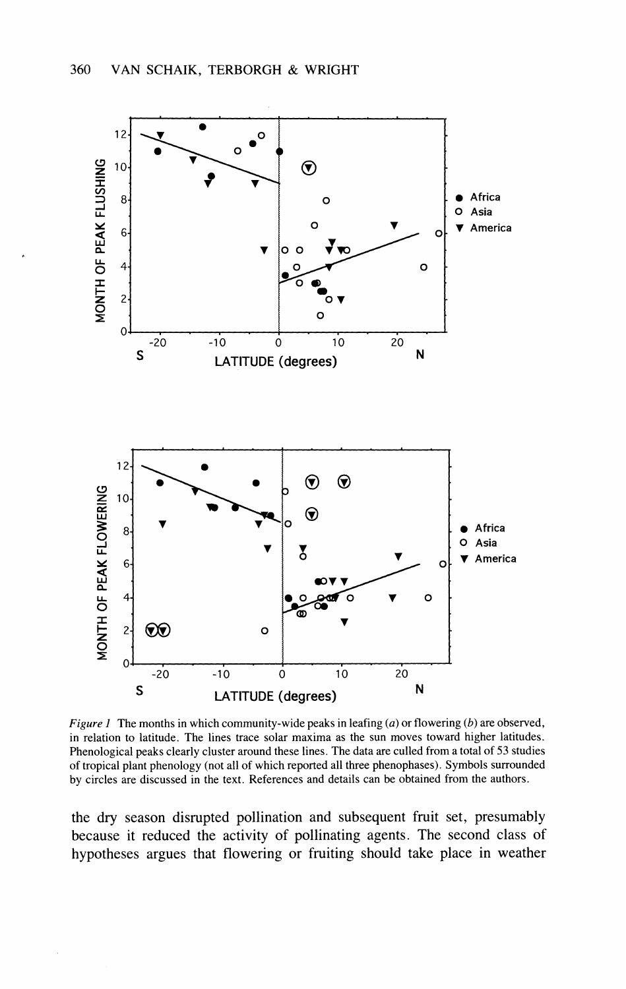

Figure 1 The months in which community-wide peaks in leafing  $(a)$  or flowering  $(b)$  are observed, in relation to latitude. The lines trace solar maxima as the sun moves toward higher latitudes. Phenological peaks clearly cluster around these lines. The data are culled from a total of 53 studies of tropical plant phenology (not all of which reported all three phenophases). Symbols surrounded by circles are discussed in the text. References and details can be obtained from the authors.

the dry season disrupted pollination and subsequent fruit set, presumably because it reduced the activity of pollinating agents. The second class of hypotheses argues that flowering or fruiting should take place in weather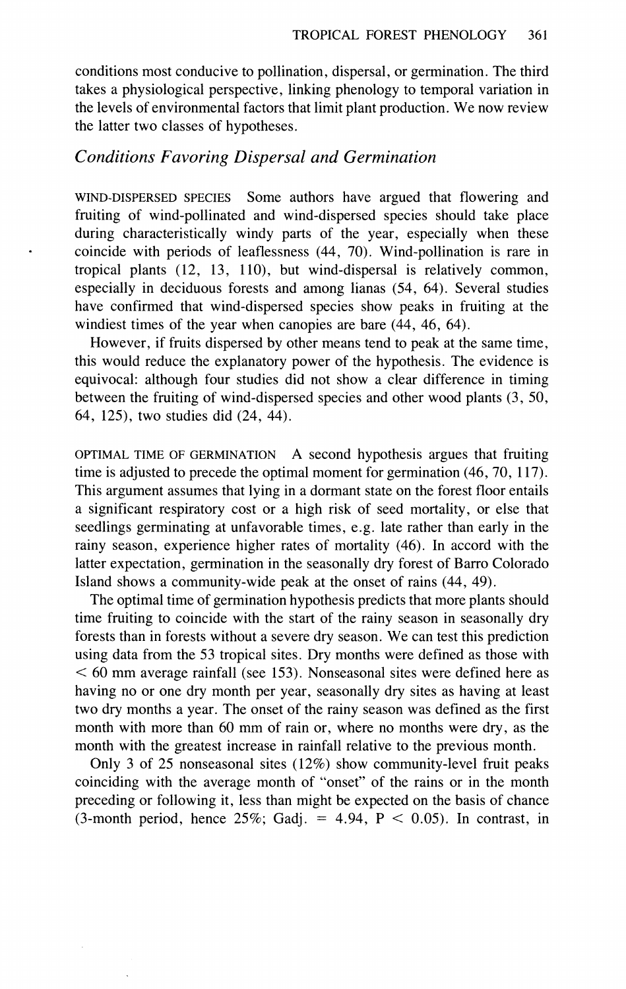conditions most conducive to pollination, dispersal, or germination. The third takes a physiological perspective, linking phenology to temporal variation in the levels of environmental factors that limit plant production. We now review the latter two classes of hypotheses.

#### *Conditions Favoring Dispersal and Germination*

WIND-DISPERSED SPECIES Some authors have argued that flowering and fruiting of wind-pollinated and wind-dispersed species should take place during characteristically windy parts of the year, especially when these coincide with periods of leaflessness (44, 70). Wind-pollination is rare in tropical plants (12, 13, 110), but wind-dispersal is relatively common, especially in deciduous forests and among lianas (54, 64). Several studies have confirmed that wind-dispersed species show peaks in fruiting at the windiest times of the year when canopies are bare (44, 46, 64).

However, if fruits dispersed by other means tend to peak at the same time, this would reduce the explanatory power of the hypothesis. The evidence is equivocal: although four studies did not show a clear difference in timing between the fruiting of wind-dispersed species and other wood plants (3, 50, 64, 125), two studies did (24, 44).

OPTIMAL TIME OF GERMINATION **A** second hypothesis argues that fruiting time is adjusted to precede the optimal moment for germination (46,70, 117). This argument assumes that lying in a dormant state on the forest floor entails a significant respiratory cost or a high risk of seed mortality, or else that seedlings germinating at unfavorable times, e.g. late rather than early in the rainy season, experience higher rates of mortality (46). In accord with the latter expectation, germination in the seasonally dry forest of Barro Colorado Island shows a community-wide peak at the onset of rains (44, 49).

The optimal time of germination hypothesis predicts that more plants should time fruiting to coincide with the start of the rainy season in seasonally dry forests than in forests without a severe dry season. We can test this prediction using data from the 53 tropical sites. Dry months were defined as those with < 60 mm average rainfall (see 153). Nonseasonal sites were defined here as having no or one dry month per year, seasonally dry sites as having at least two dry months a year. The onset of the rainy season was defined as the first month with more than 60 mm of rain or, where no months were dry, as the month with the greatest increase in rainfall relative to the previous month.

Only 3 of 25 nonseasonal sites (12%) show community-level fruit peaks coinciding with the average month of "onset" of the rains or in the month preceding or following it, less than might be expected on the basis of chance (3-month period, hence  $25\%$ ; Gadj. = 4.94, P < 0.05). In contrast, in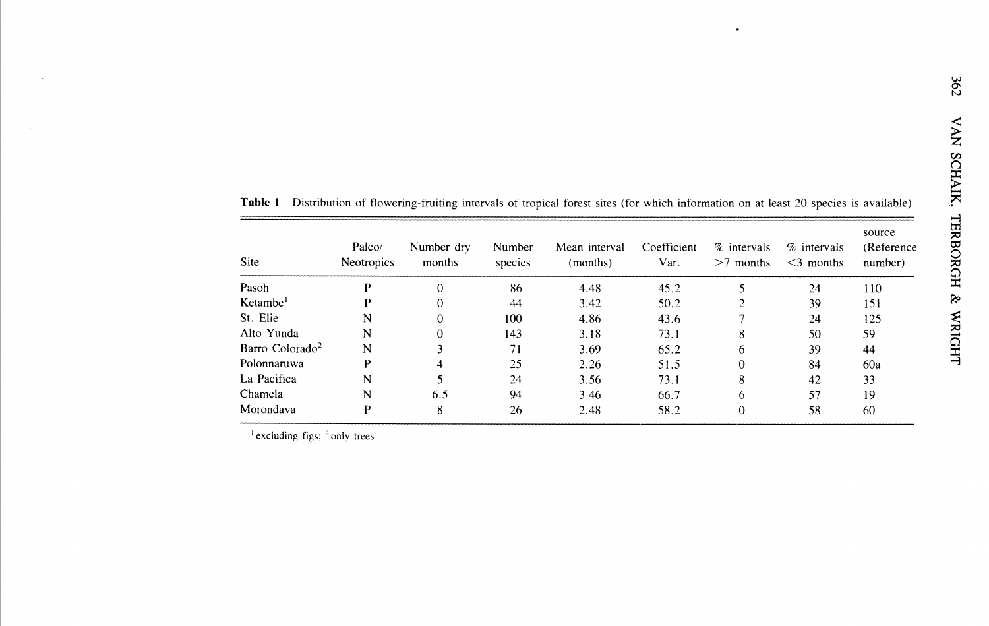| Site                        | Paleo/<br><b>Neotropics</b> | Number dry<br>months | Number<br>species | Mean interval<br>(months) | Coefficient<br>Var. | $%$ intervals<br>$>7$ months | $%$ intervals<br>$<$ 3 months | source<br>(Reference<br>number) |
|-----------------------------|-----------------------------|----------------------|-------------------|---------------------------|---------------------|------------------------------|-------------------------------|---------------------------------|
| Pasoh                       |                             | 0                    | 86                | 4.48                      | 45.2                |                              | 24                            | 110                             |
| Ketambe <sup>1</sup>        |                             | 0                    | 44                | 3.42                      | 50.2                |                              | 39                            | 151                             |
| St. Elie                    | N                           |                      | 100               | 4.86                      | 43.6                |                              | 24                            | 125                             |
| Alto Yunda                  | N                           |                      | 143               | 3.18                      | 73.1                | 8                            | 50                            | 59                              |
| Barro Colorado <sup>2</sup> | N                           |                      | 71                | 3.69                      | 65.2                | 6                            | 39                            | 44                              |
| Polonnaruwa                 | P                           | 4                    | 25                | 2.26                      | 51.5                | $\Omega$                     | 84                            | 60a                             |
| La Pacifica                 | N                           |                      | 24                | 3.56                      | 73.1                | 8                            | 42                            | 33                              |
| Chamela                     | N                           | 6.5                  | 94                | 3.46                      | 66.7                | 6                            | 57                            | 19                              |
| Morondava                   | P                           | 8                    | 26                | 2.48                      | 58.2                | $\Omega$                     | 58                            | 60                              |

Table 1 Distribution of flowering-fruiting intervals of tropical forest sites (for which information on at least 20 species is available)

 $\ddot{\phantom{a}}$ 

 $\frac{1}{1}$  excluding figs;  $\frac{2}{1}$  only trees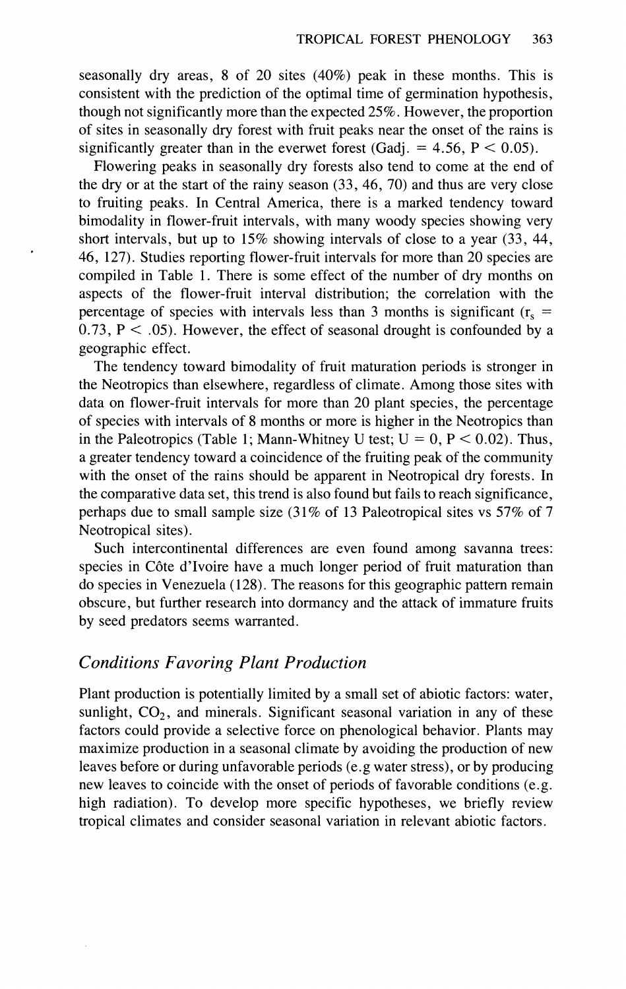seasonally dry areas, 8 of 20 sites (40%) peak in these months. This is consistent with the prediction of the optimal time of germination hypothesis, though not significantly more than the expected 25%. However, the proportion of sites in seasonally dry forest with fruit peaks near the onset of the rains is significantly greater than in the everwet forest (Gadj. =  $4.56$ ,  $P < 0.05$ ).

Flowering peaks in seasonally dry forests also tend to come at the end of the dry or at the start of the rainy season (33, 46, 70) and thus are very close to fruiting peaks. In Central America, there is a marked tendency toward bimodality in flower-fruit intervals, with many woody species showing very short intervals, but up to 15% showing intervals of close to a year (33, 44, 46, 127). Studies reporting flower-fruit intervals for more than 20 species are compiled in Table 1. There is some effect of the number of dry months on aspects of the flower-fruit interval distribution; the correlation with the percentage of species with intervals less than 3 months is significant ( $r_s$  =  $0.73$ ,  $P < .05$ ). However, the effect of seasonal drought is confounded by a geographic effect.

The tendency toward bimodality of fruit maturation periods is stronger in the Neotropics than elsewhere, regardless of climate. Among those sites with data on flower-fruit intervals for more than 20 plant species, the percentage of species with intervals of 8 months or more is higher in the Neotropics than in the Paleotropics (Table 1; Mann-Whitney U test;  $U = 0$ ,  $P < 0.02$ ). Thus, a greater tendency toward a coincidence of the fruiting peak of the community with the onset of the rains should be apparent in Neotropical dry forests. In the comparative data set, this trend is also found but fails to reach significance, perhaps due to small sample size (31% of 13 Paleotropical sites vs 57% of 7 Neotropical sites).

Such intercontinental differences are even found among savanna trees: species in C6te d'Ivoire have a much longer period of fruit maturation than do species in Venezuela (128). The reasons for this geographic pattern remain obscure, but further research into dormancy and the attack of immature fruits by seed predators seems warranted.

#### *Conditions Favoring Plant Production*

Plant production is potentially limited by a small set of abiotic factors: water, sunlight,  $CO<sub>2</sub>$ , and minerals. Significant seasonal variation in any of these factors could provide a selective force on phenological behavior. Plants may maximize production in a seasonal climate by avoiding the production of new leaves before or during unfavorable periods (e.g water stress), or by producing new leaves to coincide with the onset of periods of favorable conditions (e.g. high radiation). To develop more specific hypotheses, we briefly review tropical climates and consider seasonal variation in relevant abiotic factors.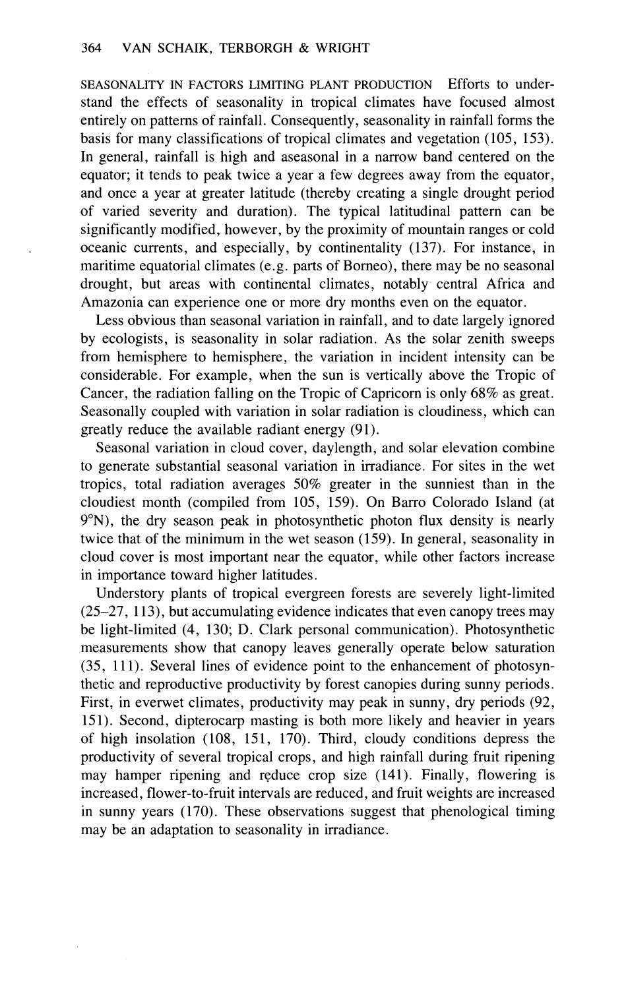SEASONALITY IN FACTORS LIMITING PLANT PRODUCTION Efforts to understand the effects of seasonality in tropical climates have focused almost entirely on patterns of rainfall. Consequently, seasonality in rainfall forms the basis for many classifications of tropical climates and vegetation (105, 153). In general, rainfall is high and aseasonal in a narrow band centered on the equator; it tends to peak twice a year a few degrees away from the equator, and once a year at greater latitude (thereby creating a single drought period of varied severity and duration). The typical latitudinal pattern can be significantly modified, however, by the proximity of mountain ranges or cold oceanic currents, and especially, by continentality (137). For instance, in maritime equatorial climates (e.g. parts of Borneo), there may be no seasonal drought, but areas with continental climates, notably central Africa and Amazonia can experience one or more dry months even on the equator.

Less obvious than seasonal variation in rainfall, and to date largely ignored by ecologists, is seasonality in solar radiation. As the solar zenith sweeps from hemisphere to hemisphere, the variation in incident intensity can be considerable. For example, when the sun is vertically above the Tropic of Cancer, the radiation falling on the Tropic of Capricorn is only 68% as great. Seasonally coupled with variation in solar radiation is cloudiness, which can greatly reduce the available radiant energy (91).

Seasonal variation in cloud cover, daylength, and solar elevation combine to generate substantial seasonal variation in irradiance. For sites in the wet tropics, total radiation averages 50% greater in the sunniest than in the cloudiest month (compiled from 105, 159). On Barro Colorado Island (at 9"N), the dry season peak in photosynthetic photon flux density is nearly twice that of the minimum in the wet season (159). In general, seasonality in cloud cover is most important near the equator, while other factors increase in importance toward higher latitudes.

Understory plants of tropical evergreen forests are severely light-limited (25-27, 113), but accumulating evidence indicates that even canopy trees may be light-limited (4, 130; D. Clark personal communication). Photosynthetic measurements show that canopy leaves generally operate below saturation (35, 111). Several lines of evidence point to the enhancement of photosynthetic and reproductive productivity by forest canopies during sunny periods. First, in everwet climates, productivity may peak in sunny, dry periods (92, 151). Second, dipterocarp masting is both more likely and heavier in years of high insolation (108, 151, 170). Third, cloudy conditions depress the productivity of several tropical crops, and high rainfall during fruit ripening may hamper ripening and reduce crop size (141). Finally, flowering is increased, flower-to-fruit intervals are reduced, and fruit weights are increased in sunny years (170). These observations suggest that phenological timing may be an adaptation to seasonality in irradiance.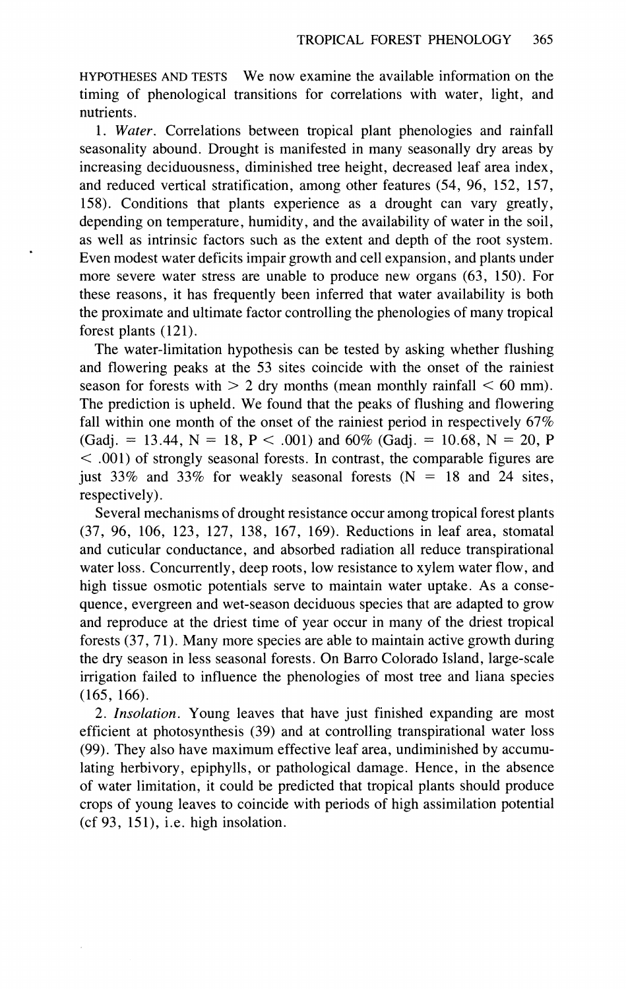HYPOTHESES AND TESTS We now examine the available information on the timing of phenological transitions for correlations with water, light, and nutrients.

1. *Water.* Correlations between tropical plant phenologies and rainfall seasonality abound. Drought is manifested in many seasonally dry areas by increasing deciduousness, diminished tree height, decreased leaf area index, and reduced vertical stratification, among other features (54, 96, 152, 157, 158). Conditions that plants experience as a drought can vary greatly, depending on temperature, humidity, and the availability of water in the soil, as well as intrinsic factors such as the extent and depth of the root system. Even modest water deficits impair growth and cell expansion, and plants under more severe water stress are unable to produce new organs (63, 150). For these reasons, it has frequently been inferred that water availability is both the proximate and ultimate factor controlling the phenologies of many tropical forest plants (121).

The water-limitation hypothesis can be tested by asking whether flushing and flowering peaks at the 53 sites coincide with the onset of the rainiest season for forests with  $> 2$  dry months (mean monthly rainfall  $< 60$  mm). The prediction is upheld. We found that the peaks of flushing and flowering fall within one month of the onset of the rainiest period in respectively 67%  $(Gadj. = 13.44, N = 18, P < .001)$  and 60%  $(Gadj. = 10.68, N = 20, P)$  $<$  .001) of strongly seasonal forests. In contrast, the comparable figures are just 33% and 33% for weakly seasonal forests  $(N = 18$  and 24 sites, respectively).

Several mechanisms of drought resistance occur among tropical forest plants (37, 96, 106, 123, 127, 138, 167, 169). Reductions in leaf area, stomata1 and cuticular conductance, and absorbed radiation all reduce transpirational water loss. Concurrently, deep roots, low resistance to xylem water flow, and high tissue osmotic potentials serve to maintain water uptake. As a consequence, evergreen and wet-season deciduous species that are adapted to grow and reproduce at the driest time of year occur in many of the driest tropical forests (37, 71). Many more species are able to maintain active growth during the dry season in less seasonal forests. On Barro Colorado Island, large-scale irrigation failed to influence the phenologies of most tree and liana species (165, 166).

2. *Insolation.* Young leaves that have just finished expanding are most efficient at photosynthesis (39) and at controlling transpirational water loss (99). They also have maximum effective leaf area, undiminished by accumulating herbivory, epiphylls, or pathological damage. Hence, in the absence of water limitation, it could be predicted that tropical plants should produce crops of young leaves to coincide with periods of high assimilation potential (cf 93, 151), i.e. high insolation.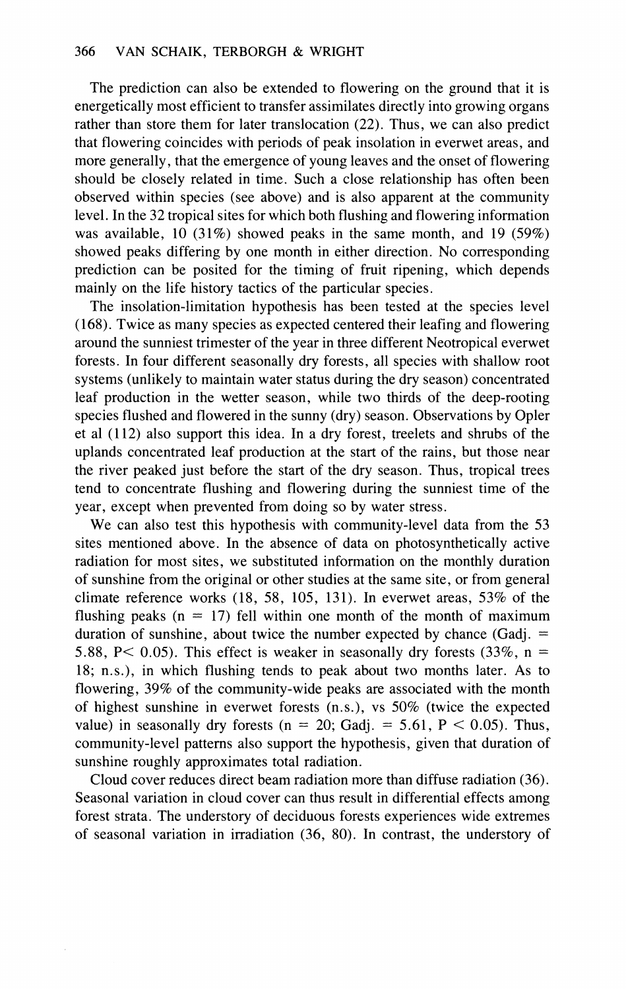The prediction can also be extended to flowering on the ground that it is energetically most efficient to transfer assimilates directly into growing organs rather than store them for later translocation (22). Thus, we can also predict that flowering coincides with periods of peak insolation in everwet areas, and more generally, that the emergence of young leaves and the onset of flowering should be closely related in time. Such a close relationship has often been observed within species (see above) and is also apparent at the community level. In the 32 tropical sites for which both flushing and flowering information was available, 10 (31%) showed peaks in the same month, and 19 (59%) showed peaks differing by one month in either direction. No corresponding prediction can be posited for the timing of fruit ripening, which depends mainly on the life history tactics of the particular species.

The insolation-limitation hypothesis has been tested at the species level (168). Twice as many species as expected centered their leafing and flowering around the sunniest trimester of the year in three different Neotropical everwet forests. In four different seasonally dry forests, all species with shallow root systems (unlikely to maintain water status during the dry season) concentrated leaf production in the wetter season, while two thirds of the deep-rooting species flushed and flowered in the sunny (dry) season. Observations by Opler et a1 (1 12) also support this idea. In a dry forest, treelets and shrubs of the uplands concentrated leaf production at the start of the rains, but those near the river peaked just before the start of the dry season. Thus, tropical trees tend to concentrate flushing and flowering during the sunniest time of the year, except when prevented from doing so by water stress.

We can also test this hypothesis with community-level data from the 53 sites mentioned above. In the absence of data on photosynthetically active radiation for most sites, we substituted information on the monthly duration of sunshine from the original or other studies at the same site, or from general climate reference works (18, 58, 105, 131). In everwet areas, 53% of the flushing peaks ( $n = 17$ ) fell within one month of the month of maximum duration of sunshine, about twice the number expected by chance (Gadj.  $=$ 5.88, P < 0.05). This effect is weaker in seasonally dry forests  $(33\%, n =$ 18; n.s.), in which flushing tends to peak about two months later. As to flowering, 39% of the community-wide peaks are associated with the month of highest sunshine in everwet forests (n.s.), vs 50% (twice the expected value) in seasonally dry forests (n = 20; Gadj. = 5.61, P < 0.05). Thus, community-level patterns also support the hypothesis, given that duration of sunshine roughly approximates total radiation.

Cloud cover reduces direct beam radiation more than diffuse radiation (36). Seasonal variation in cloud cover can thus result in differential effects among forest strata. The understory of deciduous forests experiences wide extremes of seasonal variation in irradiation (36, 80). In contrast, the understory of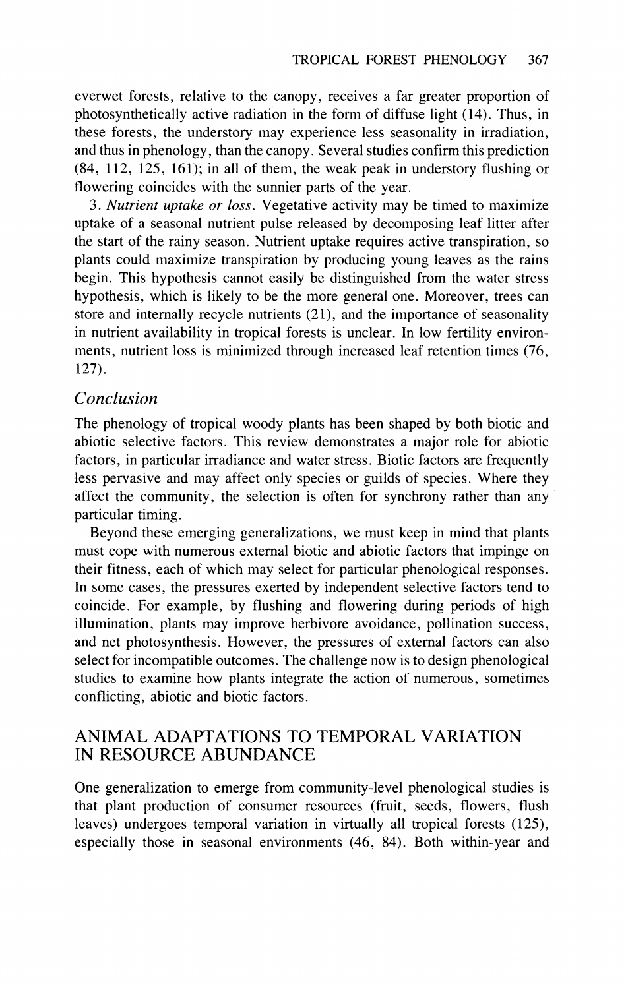everwet forests, relative to the canopy, receives a far greater proportion of photosynthetically active radiation in the form of diffuse light (14). Thus, in these forests, the understory may experience less seasonality in irradiation, and thus in phenology, than the canopy. Several studies confirm this prediction (84, 112, 125, 161); in all of them, the weak peak in understory flushing or flowering coincides with the sunnier parts of the year.

3. *Nutrient uptake or loss.* Vegetative activity may be timed to maximize uptake of a seasonal nutrient pulse released by decomposing leaf litter after the start of the rainy season. Nutrient uptake requires active transpiration, so plants could maximize transpiration by producing young leaves as the rains begin. This hypothesis cannot easily be distinguished from the water stress hypothesis, which is likely to be the more general one. Moreover, trees can store and internally recycle nutrients (21), and the importance of seasonality in nutrient availability in tropical forests is unclear. In low fertility environments, nutrient loss is minimized through increased leaf retention times (76, 127).

#### *Conclusion*

The phenology of tropical woody plants has been shaped by both biotic and abiotic selective factors. This review demonstrates a major role for abiotic factors, in particular irradiance and water stress. Biotic factors are frequently less pervasive and may affect only species or guilds of species. Where they affect the community, the selection is often for synchrony rather than any particular timing.

Beyond these emerging generalizations, we must keep in mind that plants must cope with numerous external biotic and abiotic factors that impinge on their fitness, each of which may select for particular phenological responses. In some cases, the pressures exerted by independent selective factors tend to coincide. For example, by flushing and flowering during periods of high illumination, plants may improve herbivore avoidance, pollination success, and net photosynthesis. However, the pressures of external factors can also select for incompatible outcomes. The challenge now is to design phenological studies to examine how plants integrate the action of numerous, sometimes conflicting, abiotic and biotic factors.

## ANIMAL ADAPTATIONS TO TEMPORAL VARIATION IN RESOURCE ABUNDANCE

One generalization to emerge from community-level phenological studies is that plant production of consumer resources (fruit, seeds, flowers, flush leaves) undergoes temporal variation in virtually all tropical forests (125), especially those in seasonal environments (46, 84). Both within-year and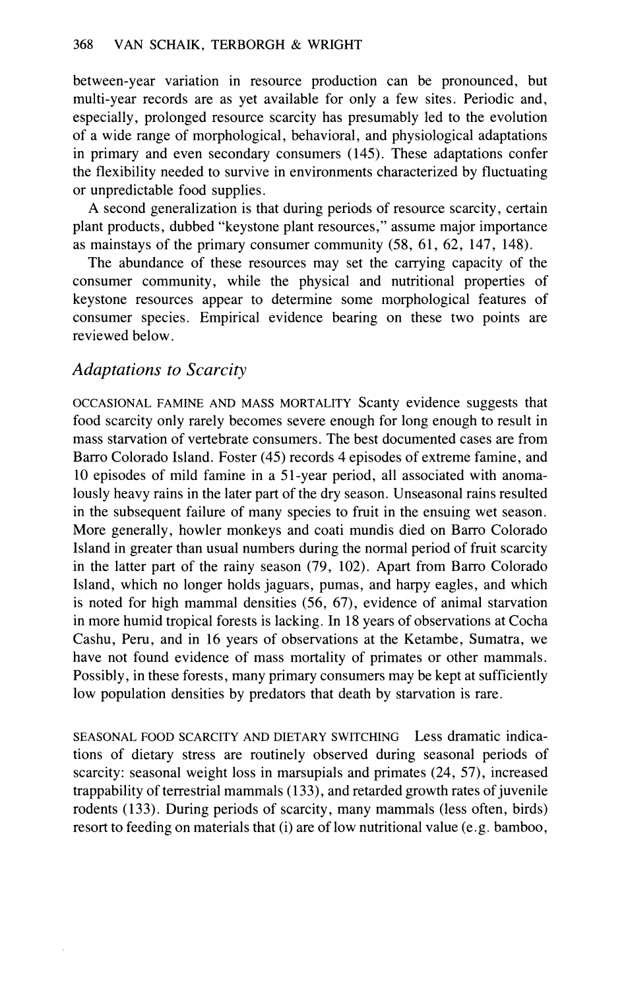between-year variation in resource production can be pronounced, but multi-year records are as yet available for only a few sites. Periodic and, especially, prolonged resource scarcity has presumably led to the evolution of a wide range of morphological, behavioral, and physiological adaptations in primary and even secondary consumers (145). These adaptations confer the flexibility needed to survive in environments characterized by fluctuating or unpredictable food supplies.

A second generalization is that during periods of resource scarcity, certain plant products, dubbed "keystone plant resources," assume major importance as mainstays of the primary consumer community (58, 61, 62, 147, 148).

The abundance of these resources may set the carrying capacity of the consumer community, while the physical and nutritional properties of keystone resources appear to determine some morphological features of consumer species. Empirical evidence bearing on these two points are reviewed below.

## Adaptations to Scarcity

OCCASIONAL FAMINE AND MASS MORTALITY Scanty evidence suggests that food scarcity only rarely becomes severe enough for long enough to result in mass starvation of vertebrate consumers. The best documented cases are from Barro Colorado Island. Foster (45) records 4 episodes of extreme famine, and 10 episodes of mild famine in a 51-year period, all associated with anomalously heavy rains in the later part of the dry season. Unseasonal rains resulted in the subsequent failure of many species to fruit in the ensuing wet season. More generally, howler monkeys and coati mundis died on Barro Colorado Island in greater than usual numbers during the normal period of fruit scarcity in the latter part of the rainy season (79, 102). Apart from Barro Colorado Island, which no longer holds jaguars, pumas, and harpy eagles, and which is noted for high mammal densities (56, 67), evidence of animal starvation in more humid tropical forests is lacking. In 18 years of observations at Cocha Cashu, Peru, and in 16 years of observations at the Ketambe, Sumatra, we have not found evidence of mass mortality of primates or other mammals. Possibly, in these forests, many primary consumers may be kept at sufficiently low population densities by predators that death by starvation is rare.

SEASONAL FOOD SCARCITY AND DIETARY SWITCHING Less dramatic indications of dietary stress are routinely observed during seasonal periods of scarcity: seasonal weight loss in marsupials and primates (24, 57), increased trappability of terrestrial mammals (133), and retarded growth rates of juvenile rodents (133). During periods of scarcity, many mammals (less often, birds) resort to feeding on materials that (i) are of low nutritional value (e.g. bamboo,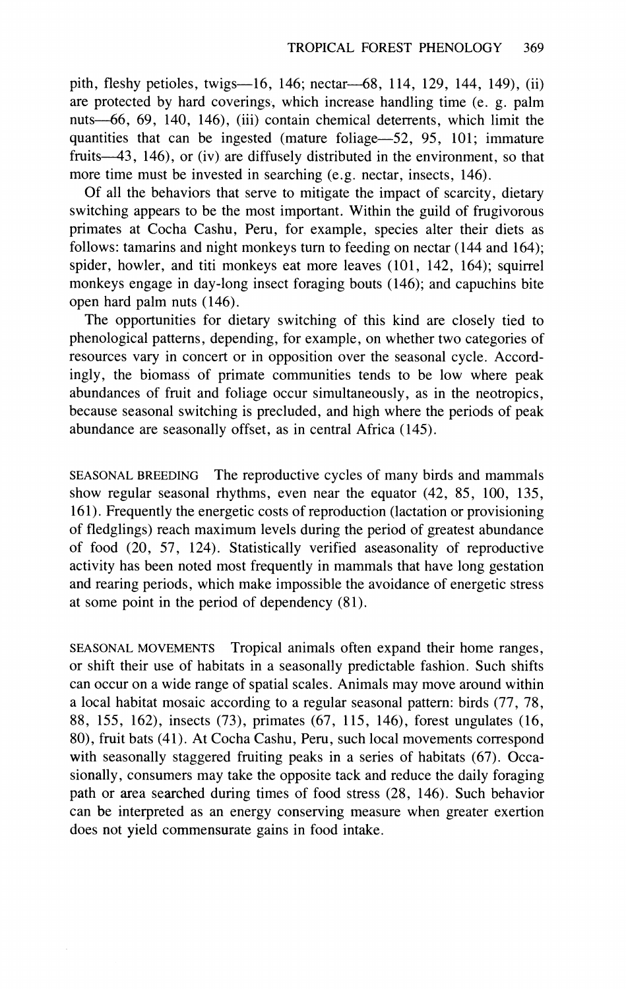pith, fleshy petioles, twigs--16, 146; nectar--68, 114, 129, 144, 149), (ii) are protected by hard coverings, which increase handling time (e. g. palm nuts-66, 69, 140, 146), (iii) contain chemical deterrents, which limit the quantities that can be ingested (mature foliage-52, 95, 101; immature fruits $-43$ , 146), or (iv) are diffusely distributed in the environment, so that more time must be invested in searching (e.g. nectar, insects, 146).

Of all the behaviors that serve to mitigate the impact of scarcity, dietary switching appears to be the most important. Within the guild of frugivorous primates at Cocha Cashu, Peru, for example, species alter their diets as follows: tamarins and night monkeys turn to feeding on nectar (144 and 164); spider, howler, and titi monkeys eat more leaves (101, 142, 164); squirrel monkeys engage in day-long insect foraging bouts (146); and capuchins bite open hard palm nuts (146).

The opportunities for dietary switching of this kind are closely tied to phenological patterns, depending, for example, on whether two categories of resources vary in concert or in opposition over the seasonal cycle. Accordingly, the biomass of primate communities tends to be low where peak abundances of fruit and foliage occur simultaneously, as in the neotropics, because seasonal switching is precluded, and high where the periods of peak abundance are seasonally offset, as in central Africa (145).

SEASONAL BREEDING The reproductive cycles of many birds and mammals show regular seasonal rhythms, even near the equator (42, 85, 100, 135, 161). Frequently the energetic costs of reproduction (lactation or provisioning of fledglings) reach maximum levels during the period of greatest abundance of food (20, 57, 124). Statistically verified aseasonality of reproductive activity has been noted most frequently in mammals that have long gestation and rearing periods, which make impossible the avoidance of energetic stress at some point in the period of dependency (81).

SEASONAL MOVEMENTS Tropical animals often expand their home ranges, or shift their use of habitats in a seasonally predictable fashion. Such shifts can occur on a wide range of spatial scales. Animals may move around within a local habitat mosaic according to a regular seasonal pattern: birds (77, 78, 88, 155, 162), insects (73), primates (67, 115, 146), forest ungulates (16, 80), fruit bats (41). At Cocha Cashu, Peru, such local movements correspond with seasonally staggered fruiting peaks in a series of habitats (67). Occasionally, consumers may take the opposite tack and reduce the daily foraging path or area searched during times of food stress (28, 146). Such behavior can be interpreted as an energy conserving measure when greater exertion does not yield commensurate gains in food intake.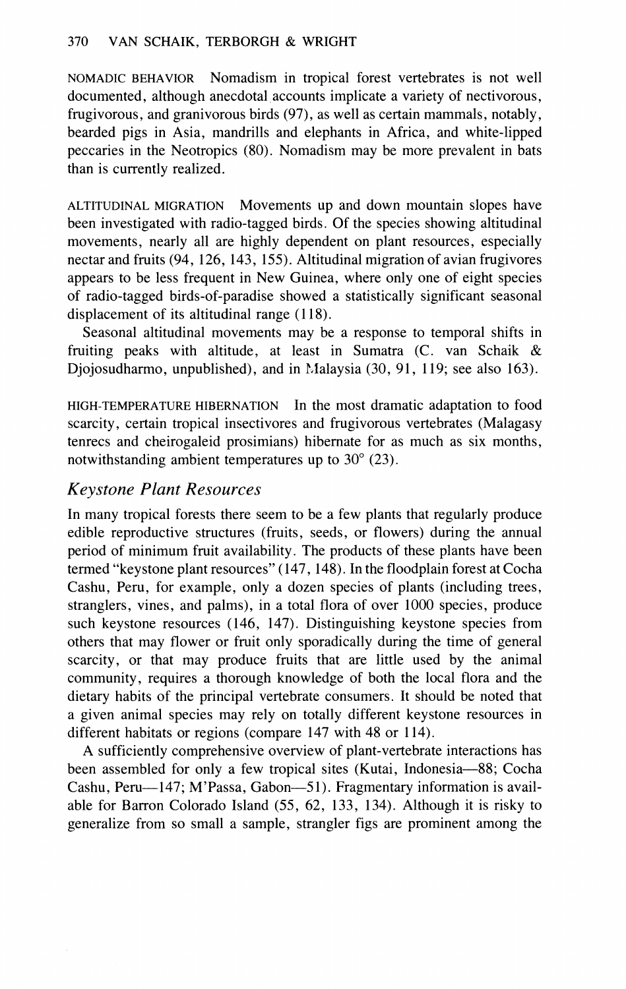NOMADIC BEHAVIOR Nomadism in tropical forest vertebrates is not well documented, although anecdotal accounts implicate a variety of nectivorous, frugivorous, and granivorous birds (97), as well as certain mammals, notably, bearded pigs in Asia, mandrills and elephants in Africa, and white-lipped peccaries in the Neotropics (80). Nomadism may be more prevalent in bats than is currently realized.

ALTITUDINAL MIGRATION Movements up and down mountain slopes have been investigated with radio-tagged birds. Of the species showing altitudinal movements, nearly all are highly dependent on plant resources, especially nectar and fruits (94, 126, 143, 155). Altitudinal migration of avian frugivores appears to be less frequent in New Guinea, where only one of eight species of radio-tagged birds-of-paradise showed a statistically significant seasonal displacement of its altitudinal range (118).

Seasonal altitudinal movements may be a response to temporal shifts in fruiting peaks with altitude, at least in Sumatra (C. van Schaik & Djojosudharmo, unpublished), and in Malaysia (30, 91, 119; see also 163).

HIGH-TEMPERATURE HIBERNATION In the most dramatic adaptation to food scarcity, certain tropical insectivores and frugivorous vertebrates (Malagasy tenrecs and cheirogaleid prosimians) hibernate for as much as six months, notwithstanding ambient temperatures up to 30" (23).

## *Keystone Plant Resources*

In many tropical forests there seem to be a few plants that regularly produce edible reproductive structures (fruits, seeds, or flowers) during the annual period of minimum fruit availability. The products of these plants have been termed "keystone plant resources" (147, 148). In the floodplain forest at Cocha Cashu, Peru, for example, only a dozen species of plants (including trees, stranglers, vines, and palms), in a total flora of over 1000 species, produce such keystone resources (146, 147). Distinguishing keystone species from others that may flower or fruit only sporadically during the time of general scarcity, or that may produce fruits that are little used by the animal community, requires a thorough knowledge of both the local flora and the dietary habits of the principal vertebrate consumers. It should be noted that a given animal species may rely on totally different keystone resources in different habitats or regions (compare 147 with 48 or 114).

A sufficiently comprehensive overview of plant-vertebrate interactions has been assembled for only a few tropical sites (Kutai, Indonesia-88; Cocha Cashu, Peru—147; M'Passa, Gabon—51). Fragmentary information is available for Barron Colorado Island (55, 62, 133, 134). Although it is risky to generalize from so small a sample, strangler figs are prominent among the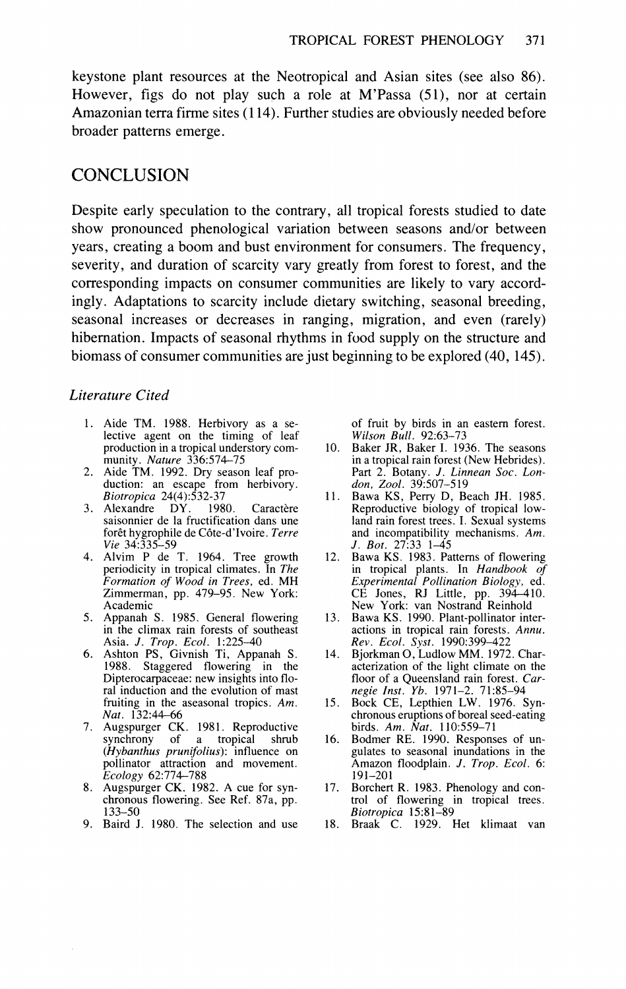keystone plant resources at the Neotropical and Asian sites (see also 86). However, figs do not play such a role at M'Passa (51), nor at certain Amazonian terra firme sites (1 14). Further studies are obviously needed before broader patterns emerge.

### **CONCLUSION**

Despite early speculation to the contrary, all tropical forests studied to date show pronounced phenological variation between seasons and/or between years, creating a boom and bust environment for consumers. The frequency, severity, and duration of scarcity vary greatly from forest to forest, and the corresponding impacts on consumer communities are likely to vary accordingly. Adaptations to scarcity include dietary switching, seasonal breeding, seasonal increases or decreases in ranging, migration, and even (rarely) hibernation. Impacts of seasonal rhythms in food supply on the structure and biomass of consumer communities are just beginning to be explored (40, 145).

#### *Literature Cited*

- 1. Aide TM. 1988. Herbivory as a selective agent on the timing of leaf<br>production in a tropical understory comproduction in a tropical understory com-<br>
munity. *Nature* 336:574–75<br>
2. Aide TM. 1992. Dry season leaf pro-
- duction: an escape from herbivory. *Biotropica* 24(4):532-37<br>Alexandre DY. 1980.
- 3. Alexandre DY. 1980. Caractère saisonnier de la fructification dans une forêt hygrophile de Côte-d'Ivoire. Terre *Vie* 34:335-59
- 4. Alvim P de T. 1964. Tree growth periodicity in tropical climates. In *The Formation of' Wood in Trees,* ed. MH Zimmerman, pp. 479-95. New York: Academic
- 5. Appanah S. 1985. General flowering in the climax rain forests of southeast Asia. *J. Trop. Ecol.* 1:225-40<br>6. Ashton PS, Givnish Ti, Appanah S.
- 1988. Staggered flowering in the Dipterocarpaceae: new insights into floral induction and the evolution of mast fruiting in the aseasonal tropics. *Am. Nut.* 132:44-66
- 7. Augspurger CK. 1981. Reproductive synchrony of a tropical shrub *(Hybanthus prunifolius):* influence on pollinator attraction and movement. *Ecology* 62:774-788
- 8. Augspurger CK, 1982. A cue for synchronous flowering. See Ref. 87a, pp. 133-50
- 9. Baird J. 1980. The selection and use

of fruit by birds in an eastern forest. *Wilson Bull.* 92:63-73<br>10. Baker JR, Baker I. 1936. The seasons

- in a tropical rain forest (New Hebrides). Part 2. Botany. J. *Linnean Soc. London, 2001.* 39:507-5 19
- Bawa KS, Perry D, Beach JH. 1985. Reproductive biology of tropical lowland rain forest trees. I. Sexual systems and incompatibility mechanisms. *Am.*  J. *Bot.* 27:33 1-45
- 12. Bawa KS. 1983. Patterns of flowering in tropical plants. In *Handbook of E.rperimenta1 Pollination Biology,* ed. CE Jones, RJ Little, pp. 394-410. New York: van Nostrand Reinhold
- 13. Bawa KS. 1990. Plant-pollinator interactions in tropical rain forests. *Annu. Rev. Ecol. \$st.* 1990:399-422
- Bjorkman *0,*Ludlow MM. 1972. Characterization of the light climate on the floor of a Queensland rain forest. *Car-negie Inst. Yb.* 1971-2. 71:85-94
- 15. Bock CE, Lepthien LW. 1976. Synchronous eruptions of boreal seed-eating birds. *Am. Nut.* 110:559-71
- $16.$ Bodmer RE. 1990. Responses of un gulates to seasonal inundations in the Amazon floodplain. J. *Trop. Ecol.* 6: 191-201<br>17. Borchert R. 1983. Phenology and con-
- Borchert R. 1983. Phenology and con- trol of flowering in tropical trees. *Biotropica* 15:81-89
- 18. Braak C. 1929. Het klimaat van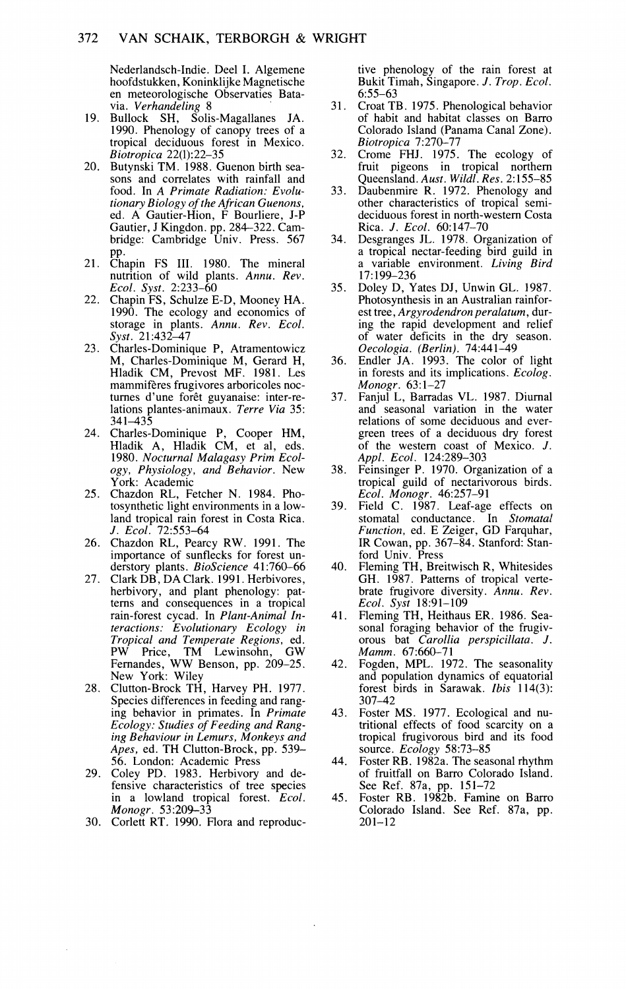Nederlandsch-Indie. Deel I. Algemene<br>hoofdstukken, Koninklijke Magnetische en meteorologische Observaties Batavia. *Verhandeling* 8

- 19. Bullock SH, Solis-Magallanes JA.<br>1990. Phenology of canopy trees of a tropical deciduous forest in Mexico. *Biotropica* 22(1):22-35
- 20. Butynski TM. 1988. Guenon birth seasons and correlates with rainfall and food. In *A Primate Radiation: Evolutionary Biolog? of the African Guenons,*  ed. A Gautier-Hion, F Bourliere, J-P Gautier, J Kingdon. pp. 284-322. Cambridge: Cambridge Univ. Press. 567
- pp.<br>21. Chapin FS III. 1980. The mineral<br>nutrition of wild plants. Annu. Rev. *Ecol. Syst.* 2:233-60
- 22. Chapin FS, Schulze E-D, Mooney HA. 1990. The ecology and economics of storage in plants. *Annu. Rev. Ecol. Syst.* 21:43247
- 23. Charles-Dominique P, Atramentowicz M, Charles-Dominique M, Gerard H, Hladik CM, Prevost MF. 1981. Les turnes d'une forêt guyanaise: inter-relations plantes-animaux. *Terre Via* 35: 341-435
- 24. Charles-Dominique P, Cooper HM, Hladik A, Hladik CM, et al, eds. 1980. *Nocturnal Malagasy Prim Ecology, Phvsiologv, and Beha~ior.* New York: Academic
- 25. Chazdon RL, Fetcher N. 1984. Photosynthetic light environments in a lowland tropical rain forest in Costa Rica. J. *Ecol.* 72553-64
- 26. Chazdon RL, Pearcy RW. 1991. The importance of sunflecks for forest unimportance of sunflecks for forest un- derstory plants. *BioScience* 41:760-66 27. Clark DB, DA Clark. 1991. Herbivores,
- herbivory, and plant phenology: patterns and consequences in a tropical rain-forest cycad. In *Plant-Animal Interactions: Evolutionary Ecology in Tropical and Temperate Regions,* ed. PW Price, TM Lewinsohn, GW PW Price, TM Lewinsohn, GW<br>Fernandes, WW Benson, pp. 209-25. New York: Wiley
- 28. Clutton-Brock TH, Harvey PH. 1977. Species differences in feeding and ranging behavior in primates. In *Primate Ecology: Studies of Feeding and Ranging Behaviour in Lemurs, Monkeys and Apes,* ed. TH Clutton-Brock, pp. 539- 56. London: Academic Press
- 29. Coley PD. 1983. Herbivory and defensive characteristics of tree species in a lowland tropical forest. *Ecol. Monogr.* 53:209-33
- 30. Corlett RT. 1990. Flora and reproduc-

tive phenology of the rain forest at Bukit Timah, Singapore. J. *Trop. Ecol.*   $6:55-63$ 

- $31.$ Croat TB. 1975. Phenological behavior of habit and habitat classes on Barro Colorado Island (Panama Canal Zone). *Biotropica* 7:270-77
- 32. Crome FHJ. 1975. The ecology of fruit pigeons in tropical northern Queensland. *Aust. Wildl. Res.* 2: 155-85
- Daubenmire R. 1972. Phenology and 33. other characteristics of tropical semideciduous forest in north-western Costa
- Rica. *J. Ecol.* 60:147-70<br>Desgranges JL. 1978. Organization of  $34$ a tropical nectar-feeding bird guild in a variable environment. *Living Bird* 17:199-236
- Doley D, Yates DJ, Unwin GL. 1987.  $35.$ Photosynthesis in an Australian rainforest tree, *Argyrodendron peralatum*, during the rapid development and relief of water deficits in the dry season. *Oecologia. (Berlin).* 74:441-49
- Endler JA. 1993. The color of light 36. I in forests and its implications. *Ecolog. Monogr.* 63:l-27
- 37. Fanjul L, Barradas VL. 1987. Diurnal and seasonal variation in the water<br>relations of some deciduous and evergreen trees of a deciduous dry forest of the western coast of Mexico.  $J$ . *Appl. Ecol.* 124:289-303
- Feinsinger P. 1970. Organization of a tropical guild of nectarivorous birds.
- *Ecol. Monogr.* 46:257-91 Field C. 1987. Leaf-age effects on 39. stomatal conductance. In Stomatal *Function,* ed. E Zeiger, GD Farquhar, IR Cowan, pp. 367-84. Stanford: Stan-
- ford Univ. Press<br>Fleming TH, Breitwisch R, Whitesides 40. GH. 1987. Patterns of tropical vertebrate frugivore diversity. *knnu. Rev. Ecol. Syst* 18:91-109
- 41. Fleming TH, Heithaus ER. 1986. Seasonal foraging behavior of the frugivsonal foraging behavior of the frugiv- orous bat *Carollia perspicillata.* J. *Mamm.* 67:660-7 1
- 42. Fogden, MPL. 1972. The seasonality and population dynamics of equatorial forest birds in Sarawak. *Ibis* 114(3): 307-42
- Foster MS. 1977. Ecological and nu tritional effects of food scarcity on a tropical frugivorous bird and its food source. *Ecology* 58:73-85
- 44. Foster RB. 1982a. The seasonal rhythm of fruitfall on Barro Colorado Island.
- See Ref. 87a, pp. 151-72 Foster RB. 1982b. Famine on Rarro 45. Colorado Island. See Ref. 87a, pp. 201-12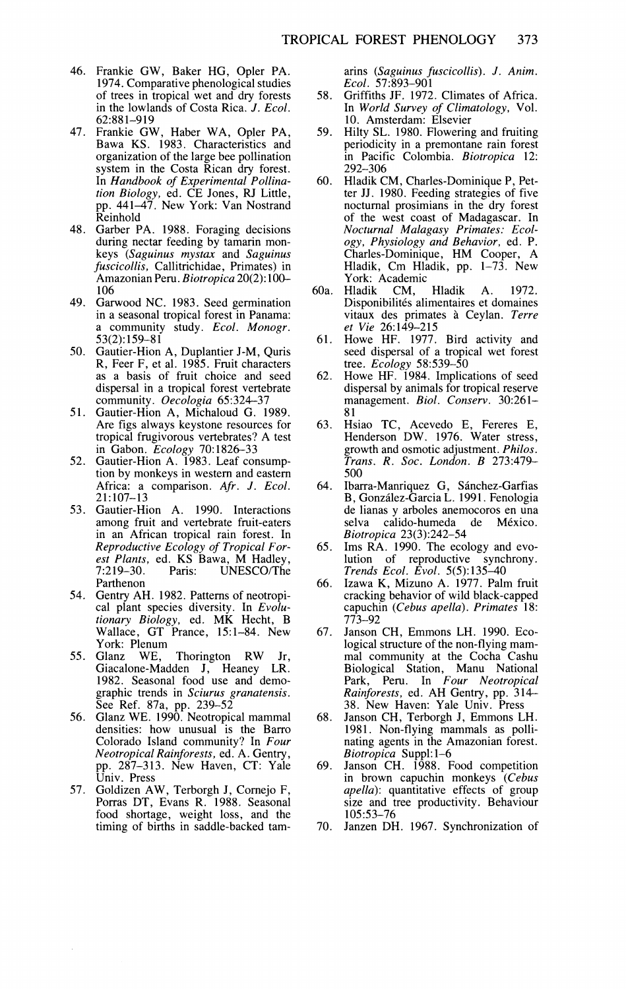- 46. Frankie GW, Baker HG, Opler PA. 1974. Comparative phenological studies of trees in tropical wet and dry forests in the lowlands of Costa Rica. *J. Ecol.* 62:881-919
- 47. Frankie GW, Haber WA, Opler PA, Bawa KS. 1983. Characteristics and organization of the large bee pollination system in the Costa Rican dry forest. In *Handbook of Experimental Pollination Biology,* ed. CE Jones, RJ Little, pp. 441-47. New York: Van Nostrand Reinhold
- 48. Garber PA. 1988. Foraging decisions during nectar feeding by tamarin monkeys *(Saguinus mystax and Saguinus fuscicollis,* Callitrichidae, Primates) in Amazonian Peru. *Biotropica* 20(2): 10G 106
- 49. Garwood NC. 1983. Seed germination<br>in a seasonal tropical forest in Panama: a community study. *Ecol. Monogr.* 53(2): 159-81
- 50. Gautier-Hion A, Duplantier J-M, Quris R, Feer F, et al. 1985. Fruit characters as a basis of fruit choice and seed dispersal in a tropical forest vertebrate community. *Oecologia* 65:324-37
- 51. Gautier-Hion A, Michaloud G. 1989. Are figs always keystone resources for tropical frugivorous vertebrates? A test
- in Gabon. *Ecology* 70: 1826-33 52. Gautier-Hion A. 1983. Leaf consumption by monkeys in western and eastern Africa: a comparison. *Afr.* J. *Ecol.*  21:107-13
- 53. Gautier-Hion A. 1990. Interactions among fruit and vertebrate fruit-eaters in an African tropical rain forest. In *Reproductive Ecology of Tropical For-est Plants,* ed. KS Bawa, M Hadley, 7:219-30. Paris: UNESCO/The Parthenon
- 54. Gentry AH. 1982. Patterns of neotropical plant species diversity. In *Evolutionary Biology,* ed. MK Hecht, B Wallace, GT Prance, 15:l-84. New York: Plenum<br>55. Glanz WE.
- Thorington RW Jr,<br>den J, Heaney LR. Giacalone-Madden J, Heaney 1982. Seasonal food use and demographic trends in *Sciurus granatensis.*  See Ref. 87a, pp. 239-52 56. Glanz WE. 1990. Neotropical mammal
- densities: how unusual is the Barro Colorado Island community? In *Four Neotropical Rainforests,* ed. A. Gentry, pp. 287-313. New Haven, CT: Yale Univ. Press
- 57. Goldizen AW, Terborgh J, Cornejo F, Porras DT, Evans R. 1988. Seasonal food shortage, weight loss, and the timing of births in saddle-backed tam-

arins *(Saguinus fuscicollis).* J. *Anim. Ecol.* 57:893-901

- Griffiths JF. 1972. Climates of Africa. 58. In *World Survey of Climatology,* Vol. 10. Amsterdam: Elsevier
- Hilty SL. 1980. Flowering and fruiting 59. periodicity in a premontane rain forest in Pacific Colombia. *Biotropica* 12: 292-306
- Hladik CM, Charles-Dominique P, Pet-60. ter JJ. 1980. Feeding strategies of five nocturnal prosimians in the dry forest of the west coast of Madagascar. In *Nocturnal Malagasy Primates: Ecology, Physiology and Behavior,* ed. P. Charles-Dominique, HM Cooper, A Hladik, Cm Hladik, pp. 1-73. New York: Academic<br>Hladik CM, Hladik
- 60a. Hladik CM, Hladik A. 1972. Disponibilités alimentaires et domaines vitaux des primates a Ceylan. *Terre et Vie* 26:149-215
- Howe HF. 1977. Bird activity and 61. seed dispersal of a tropical wet forest tree. *Ecology* 58:539-50
- Howe HF. 1984. Implications of seed 62. dispersal by animals for tropical reserve management. *Biol. Conserv.* 30:261- 8 1
- 63. Hsiao TC, Acevedo E, Fereres E, Henderson DW. 1976. Water stress, growth and osmotic adjustment. *Philos. Trans. R. Soc. London. B* 273:479- 500
- Ibarra-Manriquez G, Sánchez-Garfias 64. B, Gonzalez-Garcia L. 1991. Fenologia de lianas y arboles anemocoros en una selva calido-humeda de México. *Biotropica* 23(3):242-54
- Ims RA. 1990. The ecology and evo-<br>lution of reproductive synchrony. 65. *Trends Ecol. E\<ol.* 5(5): 135-40
- Izawa K, Mizuno A. 1977. Palm fruit 66. cracking behavior of wild black-capped capuchin *(Cebus apella). Prirnates* 18: 773-92
- Janson CH, Emmons LH. 1990. Eco-67. logical structure of the non-flying mammal community at the Cocha Cashu Biological Station, Manu National Park, Peru. In *Four Neotropical*  Rainforests, ed. AH Gentry, pp. 314-<br>38. New Haven: Yale Univ. Press
- Janson CH, Terborgh J, Emmons LH. 68. 1981. Non-flying mammals as pollinating agents in the Amazonian forest. *Biotropica* Suppl: 1-6
- 69. Janson CH. 1988. Food competition in brown capuchin monkeys *(Cebus apella):* quantitative effects of group size and tree productivity. Behaviour 105:53-76
- 70. Janzen DH. 1967. Synchronization of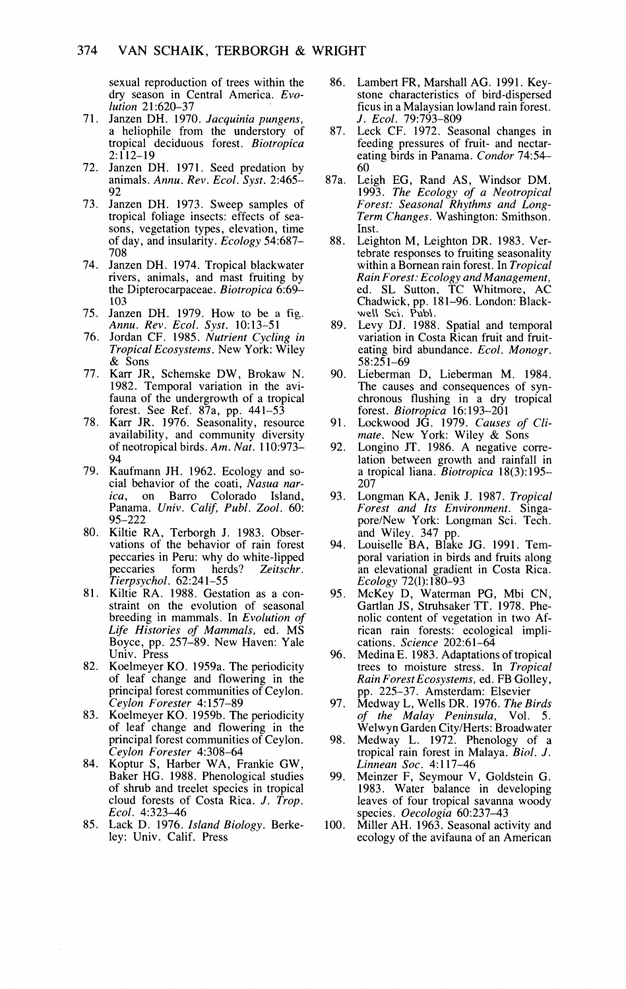sexual reproduction of trees within the dry season in Central America. *Evo*lution 21:620-37

- 71. Janzen DH. 1970. Jacquinia pungens, a heliophile from the understory of tropical deciduous forest. *Biotropica* 2:112-19
- 72. Janzen DH. 1971. Seed predation by animals. *Annu. Re\,. Ecol. Svst.* 2:465- 92
- 73. Janzen DH. 1973. Sweep samples of tropical foliage insects: effects of seasons, vegetation types, elevation, time of day, and insularity. *Ecology* 54:687- 708
- 74. Janzen DH. 1974. Tropical blackwater rivers, animals, and mast fruiting by the Dipterocarpaceae. *Biotropica* 6:69- 103
- Janzen DH. 1979. How to be a **fig.**  *Annu. Rev. Ecol. Syst.* 10:13-51
- Jordan CF. 1985. *Nutrient Cycling in*  76. *Tropical Ecosystems.* New York: Wiley & Sons
- 77. Karr JR, Schemske DW, Brokaw N. 1982. Temporal variation in the avifauna of the undergrowth of a tropical forest. See Ref. 87a, pp. 441-53
- Karr JR. 1976. Seasonality, resource 78. availability, and community diversity of neotropical birds. *Am. Nut.* 110:973- 94
- 79. Kaufmann JH. 1962. Ecology and social behavior of the coati, *Nasua narica,* on Barro Colorado Island, Panama. *Univ. Calif, Publ. Zool.* 60: 95-222
- 80. Kiltie RA, Terborgh J. 1983. Observations of the behavior of rain forest peccaries in Peru: why do white-lipped<br>peccaries form herds? Zeitschr. peccaries form herds? *Zeitschr. Tierpsychol.* 62:241-55
- 81. Kiltie RA. 1988. Gestation as a constraint on the evolution of seasonal breeding in mammals. In *Evolution of Life Histories of Mammals,* ed. MS Boyce, pp. 257-89. New Haven: Yale Univ. Press
- 82. Koelmeyer KO. 1959a. The periodicity of leaf change and flowering in the principal forest communities of Ceylon. *'Ceylo;~ Forester* 4: 157-89
- 83. Koelmeyer KO. 1959b. The periodicity of leaf change and flowering in the principal forest communities of Ceylon.
- *Ceylon Forester* 4:308-64 Koptur S, Harber WA, Frankie GW, Baker HG. 1988. Phenological studies of shrub and treelet species in tropical cloud forests of Costa Rica. *J. Trop. Ecol.* 4:323-46
- Lack *D.* 1976. *Island Biology.* Berkeley: Univ. Calif. Press
- 86. Lambert FR, Marshall AG. 1991. Keystone characteristics of bird-dispersed ficus in a Malaysian lowland rain forest.
- *J. Ecol.* 79:793-809 Leck CF. 1972. Seasonal changes in 87. feeding pressures of fruit- and nectareating birds in Panama. *Condor* 74:54- 60
- 87a. Leigh EG, Rand AS, Windsor DM. 1993. *The Ecology of a Neotropical Forest: Seasonal Rhythms and Long-Term Changes.* Washington: Smithson. Inst.
- 88. Leighton M, Leighton DR. 1983. Vertebrate responses to fruiting seasonality within a Bornean rain forest. In *Trooical Rain Forest: Ecology and Management,*<br>ed. SL Sutton, TC Whitmore, AC<br>Chadwick, pp. 181–96. London: Blackwell Sci. Publ.
- 89. Levy DJ. 1988. Spatial and temporal variation in Costa Rican fruit and fruiteating bird abundance. *Ecol. Monogr.* 58:251-69
- 90. Lieberman D, Lieberman M. 1984. The causes and consequences of synchronous flushing in a dry tropical forest. *Biotropica* 16:193-201
- 91. Lockwood JG. 1979. *Causes of Climate.* New York: Wiley & Sons
- 92. Longino JT. 1986. A negative correlation between growth and rainfall in a tropical liana. *Biotropica* 18(3):195- 207
- 93. Longman KA, Jenik J. 1987. *Tropical Forest and Its Environment.* Singapore/New York: Longman Sci. Tech.
- and Wiley. 347 pp. Louiselle BA, Blake JG. 1991. Tem-94. poral variation in birds and fruits along an elevational gradient in Costa Rica. Ecology 72(1):180-93
- 95. McKey D, Waterman PG, Mbi CN, Gartlan JS, Struhsaker TT. 1978. Phenolic content of vegetation in two African rain forests: ecological implications. *Science* 202:61-64
- 96. Medina E. 1983. Adaptations of tropical trees to moisture stress. In *Tropical Rain ForestEcosystems,* ed. FB Golley, pp. 225-37. Amsterdam: Elsevier
- 97. Medway L, Wells DR. 1976. *The Birds of the Malay Peninsula,* Vol. 5. Welwyn Garden CitylHerts: Broadwater
- 98. Medway L. 1972. Phenology of a tropical rain forest in Malaya. *Biol. J. Litlneatl Soc.* 4: 1 17-46
- 99. Meinzer F, Seymour V, Goldstein G. 1983. Water balance in developing leaves of four tropical savanna woody species. *Oecologia* 60:237-43
- 100. Miller AH. 1963. Seasonal activity and ecology of the avifauna of an American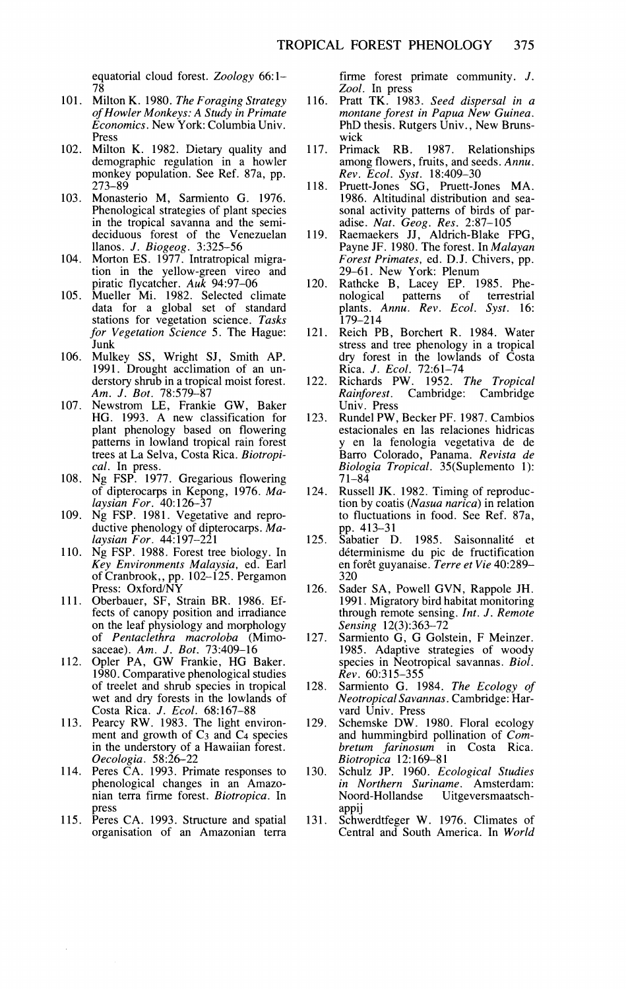equatorial cloud forest. *Zoology* 66: 1- *7 R*,

- Milton K. 1980. *The Foraging Strategy of Howler Monkeys: A Study in Primate Economics.* New York: Columbia Univ. Press
- 102. Milton K. 1982. Dietary quality and demographic regulation in a howler monkey population. See Ref. 87a, pp. 273-89
- $103.$ Monasterio M, Sarmiento G. 1976. Phenological strategies of plant species in the tropical savanna and the semideciduous forest of the Venezuelan llanos. J. *Biogeog.* 3:325-56
- 104. Morton ES. 1977. Intratropical migration in the yellow-green vireo and piratic flycatcher. *Auk* 94:97-06 Mueller Mi. 1982. Selected climate
- data for a global set of standard stations for vegetation science. *Tasks for Vegetation Science* 5. The Hague: Junk
- 106. Mulkey SS, Wright SJ, Smith AP. 1991. Drought acclimation of an understory shrub in a tropical moist forest. *Am.* J. *Bot.* 78:579-87
- 107. Newstrom LE, Frankie GW, Baker HG. 1993. A new classification for plant phenology based on flowering patterns in lowland tropical rain forest trees at La Selva, Costa Rica. *Biotropical.* In press.
- 108. Ng FSP. 1977. Gregarious flowering of dipterocarps in Kepong, 1976. *Malaysian For.* 40: 126-37
- 109. Ng FSP. 1981. Vegetative and reproductive phenology of dipterocarps. *Malaysian For.* 44: 197-221
- 110. Ng FSP. 1988. Forest tree biology. In *Key Environments Mala)~sia,* ed. Earl of Cranbrook,, pp. 102-125. Pergamon Press: Oxford/NY
- Oberbauer, SF, Strain BR. 1986. Effects of canopy position and irradiance on the leaf physiology and morphology of *Pentaclethra macroloba* (Mimosaceae). *Am.* J. *Bat.* 73:409-16 Opler PA, GW Frankie, HG Baker.
- 1980. Comparative phenological studies of treelet and shrub species in tropical wet and dry forests in the lowlands of Costa Rica. *J. Ecol.* 68:167-88
- 113. Pearcy RW. 1983. The light environment and growth of  $C_3$  and  $C_4$  species in the understory of a Hawaiian forest.
- *Oecologia*. 58:26–22<br>Peres CA. 1993. Primate responses to phenological changes in an Amazonian terra firme forest. *Biotropica.* In press
- 115. Peres CA. 1993. Structure and spatial organisation of an Amazonian terra

firme forest primate community. J. *Zool.* In press

- 116. Pratt TK. 1983. *Seed dispersal in a montane forest in Papua New Guinea.* PhD thesis. Rutgers Univ., New Brunswick<br>Primack RB.
- 117. 1987. Relationships among flowers, fruits, and seeds. *Annu. Rev. Ecol. Syst.* 18:409-30
- 118. Pruett-Jones SG, Pruett-Jones MA.<br>1986. Altitudinal distribution and sea-1986. Altitudinal distribution and sea- sonal activity patterns of birds of paradise. *Nut. Geog. Res.* 2:87-105
- Raemaekers JJ, Aldrich-Blake FPG, 119. Payne JF. 1980. The forest. In *Malayan Forest Primates,* ed. D.J. Chivers, pp. 29-61. New York: Plenum
- 120. Rathcke B, Lacey EP. 1985. Phe-nological patterns of terrestrial plants. *Annu. Rev. Ecol. Syst.* 16: 179-214
- 121. Reich PB, Borchert R. 1984. Water stress and tree phenology in a tropical dry forest in the lowlands of Costa Rica. J. *Ecol.* 72:61-74 Richards PW. 1952. *The Tropical*
- 122. *Rainforest.* Cambridge: Cambridge Univ. Press
- 123. Rundel PW, Becker PF. 1987. Cambios estacionales en las relaciones hidricas y en la fenologia vegetativa de de Barro Colorado, Panama. *Revista de Biologia Tropical.* 35(Suplemento 1): 71-84
- Russell JK. 1982. Timing of reproduc-124. tion by coatis *(Nasua narica)* in relation to fluctuations in food. See Ref. 87a, pp. 413-31<br>Sabatier D.
- 125. 1985. Saisonnalité et determinisme du pic de fructification en forêt guyanaise. Terre et Vie 40:289-320
- Sader SA, Powell GVN, Rappole JH. 126. 1991. Migratory bird habitat monitoring through remote sensing. *Int.* J. *Remote Sensing* 12(3):363-72
- Sarmiento *G,* G Golstein, F Meinzer. 127. 1985. Adaptive strategies of woody species in Neotropical savannas. *Biol. Rev.* 60:315-355
- 128. Sarmiento G. 1984. *The Ecology of Neotropical Savannas.* Cambridge: Harvard Univ. Press
- Schemske DW. 1980. Floral ecology 129. and hummingbird pollination of *Combretum farinosum* in Costa Rica. *Biotropica* 12: 169-8 1
- 130. Schulz JP. 1960. *Ecological Studies in Northern Suriname.* Amsterdam: Noord-Hollandse Uitgeversmaatschappij
- 131. Schwerdtfeger W. 1976. Climates of Central and South America. In *World*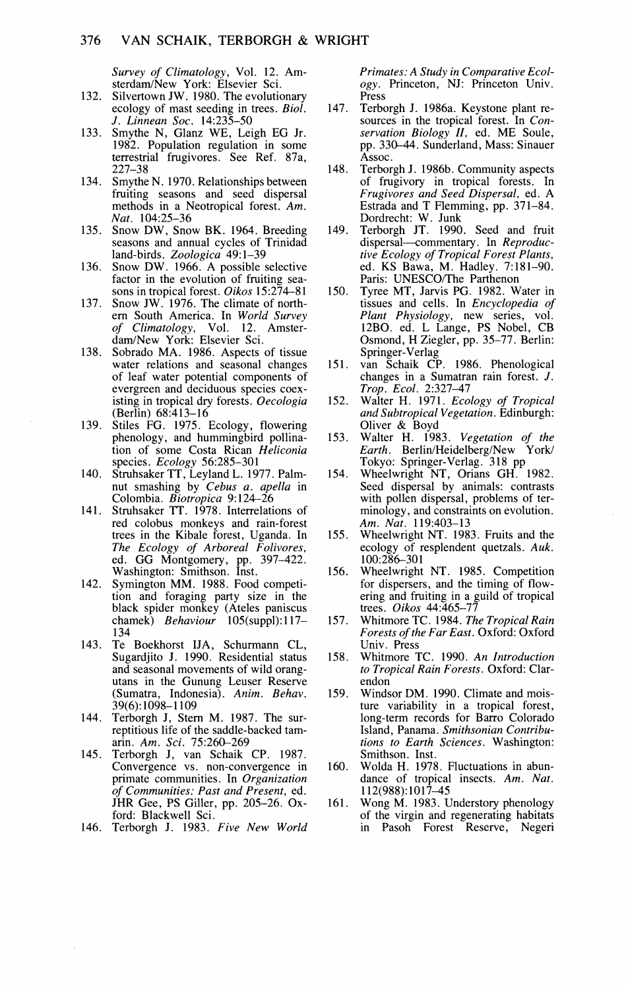*Survey of Climatology,* Vol. 12. Amsterdam/New York: Elsevier Sci.

- 132. Silvertown JW. 1980. The evolutionary ecology of mast seeding in trees. *Biol.*  J. *Linnean Soc.* 14:235-50
- 133. Smythe N, Glanz WE, Leigh EG Jr. 1982. Population regulation in some terrestrial fmgivores. See Ref. 87a, 227-38
- 134. Smythe N. 1970. Relationships between fruiting seasons and seed dispersal methods in a Neotropical forest. *Am.*
- *Nat.* 104:25–36<br>135. Snow DW, Snow BK. 1964. Breeding seasons and annual cycles of Trinidad land-birds. *Zoologica* 49: 1-39
- 136. Snow DW. 1966. A possible selective factor in the evolution of fruiting sea-
- factor in tropical forest. *Oikos* 15:274-81<br>Snow JW. 1976. The climate of north-137. ern South America. In World Survey of Climatology, Vol. 12. Amster*of Climatology,* Vol. 12. Amsterdam/New York: Elsevier Sci.
- Sobrado MA. 1986. Aspects of tissue 138. water relations and seasonal changes of leaf water potential components of<br>evergreen and deciduous species coexisting in tropical dry forests. Oecologia (Berlin) 68:413-16
- 139. Stiles FG. 1975. Ecology, flowering phenology, and hummingbird pollination of some Costa Rican *Heliconia*
- species*. Ecology 5*6:285–301<br>Struhsaker TT, Leyland L. 1977. Palmnut smashing by *Cebus a. apella* in Colombia. *Biotropica* 9: 124-26
- Struhsaker TT. 1978. Interrelations of 141. red colobus monkeys and rain-forest trees in the Kibale forest, Uganda. In *The Ecology of Arboreal Folivores,*  ed. GG Montgomery, pp. 397-422. Washington: Smithson. Inst.
- 142. Symington MM. 1988. Food competition and foraging party size in the black spider monkey (Ateles paniscus chamek) *Behaviour* 105(suppl): 117- 134
- 143. Te Boekhorst IJA, Schurmann CL, Sugardjito J. 1990. Residential status and seasonal movements of wild orangutans in the Gunung Leuser Reserve (Sumatra, Indonesia). *Anim. Behav.*  39(6): 1098-1 109
- 144. Terborgh J, Stern M. 1987. The surreptitious life of the saddle-backed tamarin. Am. Sci. 75:260-269
- Terborgh J, van Schaik CP. 1987. 145. Convergence vs. non-convergence in primate communities. In *Organization of Communities: Past and Present,* ed. JHR Gee, PS Giller, pp. 205-26. Oxford: Blackwell Sci.
- 146. Terborgh J. 1983. Five New World

*Primates: A Study in Comparati\,e Ecology.* Princeton, NJ: Princeton Univ. Press<br>Terborgh J. 1986a. Keystone plant re-

- 147. sources in the tropical forest. In *Conservation Biology It,* ed. ME Soule, pp. 330-44. Sunderland, Mass: Sinauer Assoc.
- 148. Terborgh J. 1986b. Community aspects of frugivory in tropical forests. In *Frugi\,ores and Seed Dispersal,* ed. A Estrada and T Flemming, pp. 371-84.
- Dordrecht: W. Junk Terborgh JT. 1990. Seed and fruit 149. dispersal-commentary. In *Reproductive Ecology of Tropical Forest Plants,*  ed. KS Bawa, M. Hadley. 7:181-90. Paris: UNESCO/The Parthenon
- 150. Tyree MT, Jarvis PG. 1982. Water in tissues and cells. In *Encyclopedia of Plant Physiology,* new series, vol. 12BO. ed. L Lange, PS Nobel, CB Osmond, H Ziegler, pp. 35-77. Berlin: Springer-Verlag
- 151. van Schaik CP. 1986. Phenological changes in a Sumatran rain forest. J.
- *Trop. Ecol.* 2:327-47 Walter H. 1971. *Ecology of Tropical*  152. *and Subtropical Vegetation.* Edinburgh: Oliver & Boyd
- 153. Walter H. 1983. *Vegetation of the Earth.* Berlin/Heidelberg/New York/
- Tokyo: Springer-Verlag. 318 pp Wheelwright NT, Orians GH. 1982. 154. Seed dispersal by animals: contrasts with pollen dispersal, problems of terminology, and constraints on evolution. *Am. Nut.* 119:403-13
- 155. Wheelwright NT. 1983. Fruits and the ecology of resplendent quetzals. Auk. 100:286-301
- 156. Wheelwright NT. 1985. Competition for dispersers, and the timing of flowering and fruiting in a guild of tropical trees. *Oikos* 44:465-77
- 157. Whitmore TC. 1984. *The Tropical Rain Forests of the Far East.* Oxford: Oxford Univ. Press
- 158. Whitmore TC. 1990. *An Introduction to Tropical Rain Forests.* Oxford: Clarendon
- 159. Windsor DM. 1990. Climate and moisture variability in a tropical forest, long-term records for Barro Colorado Island, Panama. *Smithsonian Contributions to Earth Sciences.* Washington: Smithson. Inst.
- 160. Wolda H. 1978. Fluctuations in abundance of tropical insects. *Am. Nut.*  112(988):1017-45
- Wong *M.* 1983. Understory phenology 161. of the virgin and regenerating habitats in Pasoh Forest Reserve, Negeri